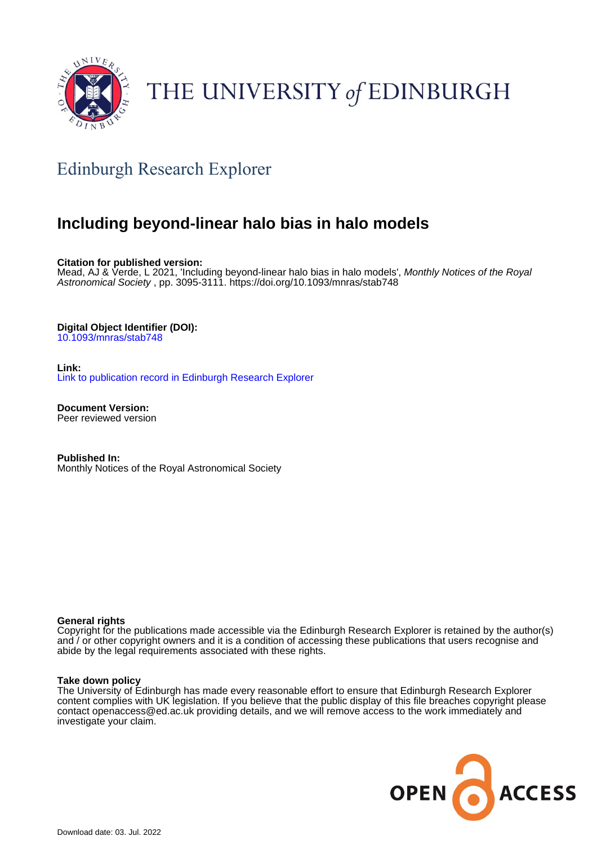

# THE UNIVERSITY of EDINBURGH

## Edinburgh Research Explorer

## **Including beyond-linear halo bias in halo models**

**Citation for published version:**

Mead, AJ & Verde, L 2021, 'Including beyond-linear halo bias in halo models', *Monthly Notices of the Royal* Astronomical Society , pp. 3095-3111. <https://doi.org/10.1093/mnras/stab748>

## **Digital Object Identifier (DOI):**

[10.1093/mnras/stab748](https://doi.org/10.1093/mnras/stab748)

**Link:** [Link to publication record in Edinburgh Research Explorer](https://www.research.ed.ac.uk/en/publications/1e547f65-6765-4420-902c-29a81310e4bd)

**Document Version:** Peer reviewed version

**Published In:** Monthly Notices of the Royal Astronomical Society

## **General rights**

Copyright for the publications made accessible via the Edinburgh Research Explorer is retained by the author(s) and / or other copyright owners and it is a condition of accessing these publications that users recognise and abide by the legal requirements associated with these rights.

## **Take down policy**

The University of Edinburgh has made every reasonable effort to ensure that Edinburgh Research Explorer content complies with UK legislation. If you believe that the public display of this file breaches copyright please contact openaccess@ed.ac.uk providing details, and we will remove access to the work immediately and investigate your claim.

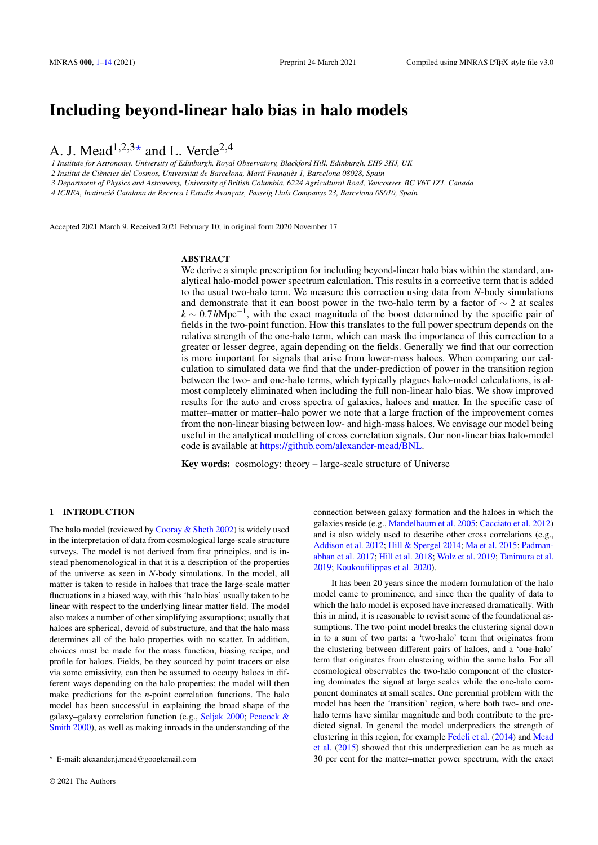## Including beyond-linear halo bias in halo models

A. J. Mead<sup>1,2,3 $\star$ </sup> and L. Verde<sup>2,4</sup>

*1 Institute for Astronomy, University of Edinburgh, Royal Observatory, Blackford Hill, Edinburgh, EH9 3HJ, UK*

*2 Institut de Ciencies del Cosmos, Universitat de Barcelona, Mart ` ´ı Franques 1, Barcelona 08028, Spain `*

*3 Department of Physics and Astronomy, University of British Columbia, 6224 Agricultural Road, Vancouver, BC V6T 1Z1, Canada*

4 ICREA, Institució Catalana de Recerca i Estudis Avançats, Passeig Lluís Companys 23, Barcelona 08010, Spain

Accepted 2021 March 9. Received 2021 February 10; in original form 2020 November 17

## ABSTRACT

We derive a simple prescription for including beyond-linear halo bias within the standard, analytical halo-model power spectrum calculation. This results in a corrective term that is added to the usual two-halo term. We measure this correction using data from *N*-body simulations and demonstrate that it can boost power in the two-halo term by a factor of  $\sim$  2 at scales  $k \sim 0.7 h Mpc^{-1}$ , with the exact magnitude of the boost determined by the specific pair of fields in the two-point function. How this translates to the full power spectrum depends on the relative strength of the one-halo term, which can mask the importance of this correction to a greater or lesser degree, again depending on the fields. Generally we find that our correction is more important for signals that arise from lower-mass haloes. When comparing our calculation to simulated data we find that the under-prediction of power in the transition region between the two- and one-halo terms, which typically plagues halo-model calculations, is almost completely eliminated when including the full non-linear halo bias. We show improved results for the auto and cross spectra of galaxies, haloes and matter. In the specific case of matter–matter or matter–halo power we note that a large fraction of the improvement comes from the non-linear biasing between low- and high-mass haloes. We envisage our model being useful in the analytical modelling of cross correlation signals. Our non-linear bias halo-model code is available at [https://github.com/alexander-mead/BNL.](https://github.com/alexander-mead/BNL)

Key words: cosmology: theory – large-scale structure of Universe

## <span id="page-1-0"></span>1 INTRODUCTION

The halo model (reviewed by [Cooray & Sheth](#page-14-0) [2002\)](#page-14-0) is widely used in the interpretation of data from cosmological large-scale structure surveys. The model is not derived from first principles, and is instead phenomenological in that it is a description of the properties of the universe as seen in *N*-body simulations. In the model, all matter is taken to reside in haloes that trace the large-scale matter fluctuations in a biased way, with this 'halo bias' usually taken to be linear with respect to the underlying linear matter field. The model also makes a number of other simplifying assumptions; usually that haloes are spherical, devoid of substructure, and that the halo mass determines all of the halo properties with no scatter. In addition, choices must be made for the mass function, biasing recipe, and profile for haloes. Fields, be they sourced by point tracers or else via some emissivity, can then be assumed to occupy haloes in different ways depending on the halo properties; the model will then make predictions for the *n*-point correlation functions. The halo model has been successful in explaining the broad shape of the galaxy–galaxy correlation function (e.g., [Seljak](#page-14-1) [2000;](#page-14-1) [Peacock &](#page-14-2) [Smith](#page-14-2) [2000\)](#page-14-2), as well as making inroads in the understanding of the

connection between galaxy formation and the haloes in which the galaxies reside (e.g., [Mandelbaum et al.](#page-14-3) [2005;](#page-14-3) [Cacciato et al.](#page-14-4) [2012\)](#page-14-4) and is also widely used to describe other cross correlations (e.g., [Addison et al.](#page-14-5) [2012;](#page-14-5) [Hill & Spergel](#page-14-6) [2014;](#page-14-6) [Ma et al.](#page-14-7) [2015;](#page-14-7) [Padman](#page-14-8)[abhan et al.](#page-14-8) [2017;](#page-14-8) [Hill et al.](#page-14-9) [2018;](#page-14-9) [Wolz et al.](#page-14-10) [2019;](#page-14-10) [Tanimura et al.](#page-14-11) [2019;](#page-14-11) [Koukoufilippas et al.](#page-14-12) [2020\)](#page-14-12).

It has been 20 years since the modern formulation of the halo model came to prominence, and since then the quality of data to which the halo model is exposed have increased dramatically. With this in mind, it is reasonable to revisit some of the foundational assumptions. The two-point model breaks the clustering signal down in to a sum of two parts: a 'two-halo' term that originates from the clustering between different pairs of haloes, and a 'one-halo' term that originates from clustering within the same halo. For all cosmological observables the two-halo component of the clustering dominates the signal at large scales while the one-halo component dominates at small scales. One perennial problem with the model has been the 'transition' region, where both two- and onehalo terms have similar magnitude and both contribute to the predicted signal. In general the model underpredicts the strength of clustering in this region, for example [Fedeli et al.](#page-14-13) [\(2014\)](#page-14-13) and [Mead](#page-14-14) [et al.](#page-14-14) [\(2015\)](#page-14-14) showed that this underprediction can be as much as 30 per cent for the matter–matter power spectrum, with the exact

<sup>?</sup> E-mail: alexander.j.mead@googlemail.com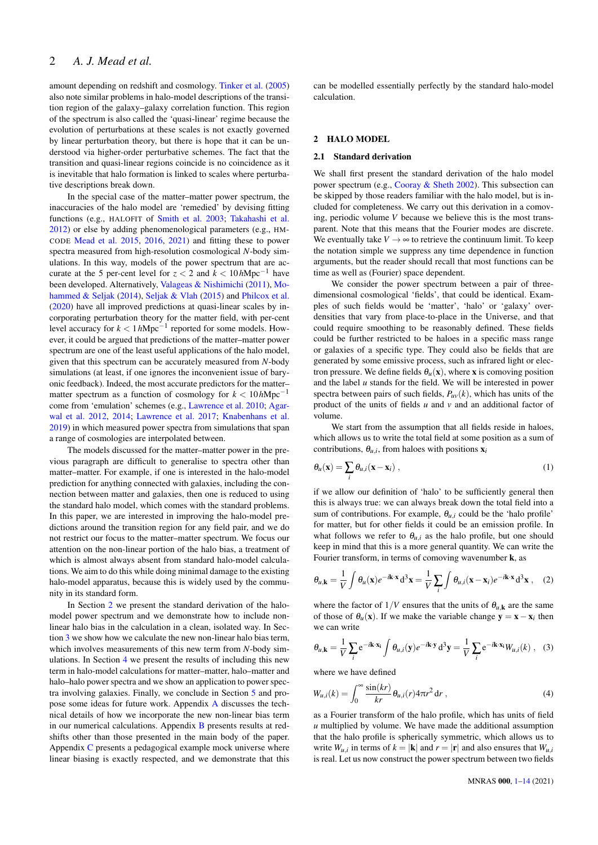## 2 *A. J. Mead et al.*

amount depending on redshift and cosmology. [Tinker et al.](#page-14-15) [\(2005\)](#page-14-15) also note similar problems in halo-model descriptions of the transition region of the galaxy–galaxy correlation function. This region of the spectrum is also called the 'quasi-linear' regime because the evolution of perturbations at these scales is not exactly governed by linear perturbation theory, but there is hope that it can be understood via higher-order perturbative schemes. The fact that the transition and quasi-linear regions coincide is no coincidence as it is inevitable that halo formation is linked to scales where perturbative descriptions break down.

In the special case of the matter–matter power spectrum, the inaccuracies of the halo model are 'remedied' by devising fitting functions (e.g., HALOFIT of [Smith et al.](#page-14-16) [2003;](#page-14-16) [Takahashi et al.](#page-14-17) [2012\)](#page-14-17) or else by adding phenomenological parameters (e.g., HM-CODE [Mead et al.](#page-14-14) [2015,](#page-14-14) [2016,](#page-14-18) [2021\)](#page-14-19) and fitting these to power spectra measured from high-resolution cosmological *N*-body simulations. In this way, models of the power spectrum that are accurate at the 5 per-cent level for  $z < 2$  and  $k < 10h$ Mpc<sup>-1</sup> have been developed. Alternatively, [Valageas & Nishimichi](#page-14-20) [\(2011\)](#page-14-20), [Mo](#page-14-21)[hammed & Seljak](#page-14-21) [\(2014\)](#page-14-21), [Seljak & Vlah](#page-14-22) [\(2015\)](#page-14-22) and [Philcox et al.](#page-14-23) [\(2020\)](#page-14-23) have all improved predictions at quasi-linear scales by incorporating perturbation theory for the matter field, with per-cent level accuracy for *k* < 1*h*Mpc−<sup>1</sup> reported for some models. However, it could be argued that predictions of the matter–matter power spectrum are one of the least useful applications of the halo model, given that this spectrum can be accurately measured from *N*-body simulations (at least, if one ignores the inconvenient issue of baryonic feedback). Indeed, the most accurate predictors for the matter– matter spectrum as a function of cosmology for  $k < 10h$ Mpc<sup>-1</sup> come from 'emulation' schemes (e.g., [Lawrence et al.](#page-14-24) [2010;](#page-14-24) [Agar](#page-14-25)[wal et al.](#page-14-25) [2012,](#page-14-25) [2014;](#page-14-26) [Lawrence et al.](#page-14-27) [2017;](#page-14-27) [Knabenhans et al.](#page-14-28) [2019\)](#page-14-28) in which measured power spectra from simulations that span a range of cosmologies are interpolated between.

The models discussed for the matter–matter power in the previous paragraph are difficult to generalise to spectra other than matter–matter. For example, if one is interested in the halo-model prediction for anything connected with galaxies, including the connection between matter and galaxies, then one is reduced to using the standard halo model, which comes with the standard problems. In this paper, we are interested in improving the halo-model predictions around the transition region for any field pair, and we do not restrict our focus to the matter–matter spectrum. We focus our attention on the non-linear portion of the halo bias, a treatment of which is almost always absent from standard halo-model calculations. We aim to do this while doing minimal damage to the existing halo-model apparatus, because this is widely used by the community in its standard form.

In Section [2](#page-2-0) we present the standard derivation of the halomodel power spectrum and we demonstrate how to include nonlinear halo bias in the calculation in a clean, isolated way. In Section [3](#page-5-0) we show how we calculate the new non-linear halo bias term, which involves measurements of this new term from *N*-body simulations. In Section [4](#page-6-0) we present the results of including this new term in halo-model calculations for matter–matter, halo–matter and halo–halo power spectra and we show an application to power spectra involving galaxies. Finally, we conclude in Section [5](#page-12-0) and propose some ideas for future work. Appendix [A](#page-14-29) discusses the technical details of how we incorporate the new non-linear bias term in our numerical calculations. Appendix [B](#page-15-0) presents results at redshifts other than those presented in the main body of the paper. Appendix [C](#page-17-0) presents a pedagogical example mock universe where linear biasing is exactly respected, and we demonstrate that this can be modelled essentially perfectly by the standard halo-model calculation.

## <span id="page-2-0"></span>2 HALO MODEL

#### 2.1 Standard derivation

We shall first present the standard derivation of the halo model power spectrum (e.g., [Cooray & Sheth](#page-14-0) [2002\)](#page-14-0). This subsection can be skipped by those readers familiar with the halo model, but is included for completeness. We carry out this derivation in a comoving, periodic volume *V* because we believe this is the most transparent. Note that this means that the Fourier modes are discrete. We eventually take  $V \rightarrow \infty$  to retrieve the continuum limit. To keep the notation simple we suppress any time dependence in function arguments, but the reader should recall that most functions can be time as well as (Fourier) space dependent.

We consider the power spectrum between a pair of threedimensional cosmological 'fields', that could be identical. Examples of such fields would be 'matter', 'halo' or 'galaxy' overdensities that vary from place-to-place in the Universe, and that could require smoothing to be reasonably defined. These fields could be further restricted to be haloes in a specific mass range or galaxies of a specific type. They could also be fields that are generated by some emissive process, such as infrared light or electron pressure. We define fields  $\theta_u(\mathbf{x})$ , where **x** is comoving position and the label *u* stands for the field. We will be interested in power spectra between pairs of such fields,  $P_{uv}(k)$ , which has units of the product of the units of fields *u* and *v* and an additional factor of volume.

We start from the assumption that all fields reside in haloes, which allows us to write the total field at some position as a sum of contributions,  $\theta_{u,i}$ , from haloes with positions  $\mathbf{x}_i$ 

$$
\theta_u(\mathbf{x}) = \sum_i \theta_{u,i}(\mathbf{x} - \mathbf{x}_i) \tag{1}
$$

if we allow our definition of 'halo' to be sufficiently general then this is always true: we can always break down the total field into a sum of contributions. For example,  $\theta_{u,i}$  could be the 'halo profile' for matter, but for other fields it could be an emission profile. In what follows we refer to  $\theta_{u,i}$  as the halo profile, but one should keep in mind that this is a more general quantity. We can write the Fourier transform, in terms of comoving wavenumber k, as

$$
\theta_{u,\mathbf{k}} = \frac{1}{V} \int \theta_u(\mathbf{x}) e^{-i\mathbf{k}\cdot\mathbf{x}} d^3 \mathbf{x} = \frac{1}{V} \sum_i \int \theta_{u,i}(\mathbf{x} - \mathbf{x}_i) e^{-i\mathbf{k}\cdot\mathbf{x}} d^3 \mathbf{x}, \quad (2)
$$

where the factor of  $1/V$  ensures that the units of  $\theta_{u,k}$  are the same of those of  $\theta_u(\mathbf{x})$ . If we make the variable change  $\mathbf{y} = \mathbf{x} - \mathbf{x}_i$  then we can write

$$
\theta_{u,\mathbf{k}} = \frac{1}{V} \sum_{i} e^{-i\mathbf{k} \cdot \mathbf{x}_i} \int \theta_{u,i}(\mathbf{y}) e^{-i\mathbf{k} \cdot \mathbf{y}} d^3 \mathbf{y} = \frac{1}{V} \sum_{i} e^{-i\mathbf{k} \cdot \mathbf{x}_i} W_{u,i}(k) , \quad (3)
$$

where we have defined

$$
W_{u,i}(k) = \int_0^\infty \frac{\sin(kr)}{kr} \theta_{u,i}(r) 4\pi r^2 dr , \qquad (4)
$$

as a Fourier transform of the halo profile, which has units of field *u* multiplied by volume. We have made the additional assumption that the halo profile is spherically symmetric, which allows us to write  $W_{u,i}$  in terms of  $k = |\mathbf{k}|$  and  $r = |\mathbf{r}|$  and also ensures that  $W_{u,i}$ is real. Let us now construct the power spectrum between two fields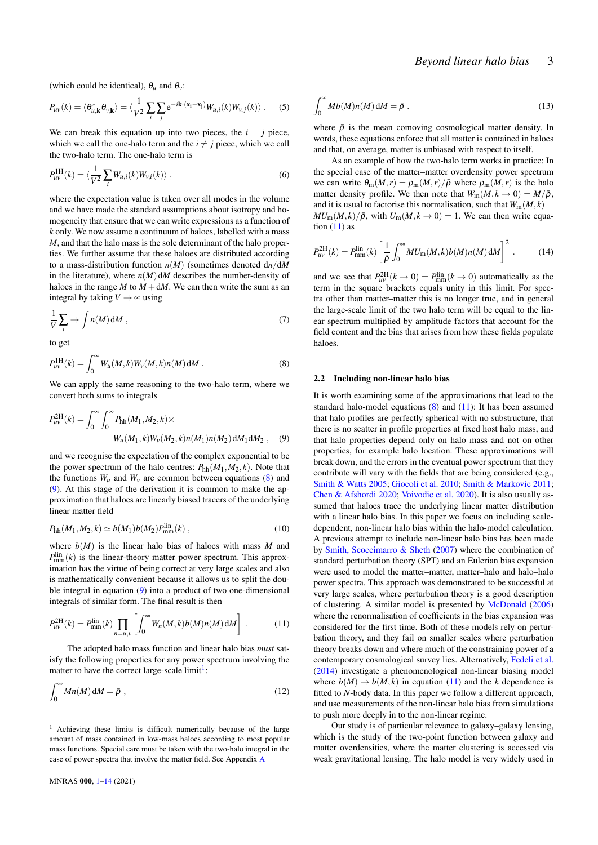(which could be identical),  $\theta_u$  and  $\theta_v$ :

$$
P_{uv}(k) = \langle \theta_{u,\mathbf{k}}^* \theta_{v,\mathbf{k}} \rangle = \langle \frac{1}{V^2} \sum_i \sum_j e^{-i\mathbf{k} \cdot (\mathbf{x}_i - \mathbf{x}_j)} W_{u,i}(k) W_{v,j}(k) \rangle . \quad (5)
$$

We can break this equation up into two pieces, the  $i = i$  piece, which we call the one-halo term and the  $i \neq j$  piece, which we call the two-halo term. The one-halo term is

$$
P_{uv}^{\text{IH}}(k) = \langle \frac{1}{V^2} \sum_{i} W_{u,i}(k) W_{v,i}(k) \rangle , \qquad (6)
$$

where the expectation value is taken over all modes in the volume and we have made the standard assumptions about isotropy and homogeneity that ensure that we can write expressions as a function of *k* only. We now assume a continuum of haloes, labelled with a mass *M*, and that the halo mass is the sole determinant of the halo properties. We further assume that these haloes are distributed according to a mass-distribution function  $n(M)$  (sometimes denoted  $dn/dM$ in the literature), where  $n(M)$  d*M* describes the number-density of haloes in the range  $M$  to  $M + dM$ . We can then write the sum as an integral by taking  $V \rightarrow \infty$  using

$$
\frac{1}{V} \sum_{i} \rightarrow \int n(M) \, \mathrm{d}M \,, \tag{7}
$$

<span id="page-3-0"></span>to get

$$
P_{uv}^{1H}(k) = \int_0^\infty W_u(M,k)W_v(M,k)n(M) \, dM \, . \tag{8}
$$

We can apply the same reasoning to the two-halo term, where we convert both sums to integrals

$$
P_{uv}^{2H}(k) = \int_0^\infty \int_0^\infty P_{hh}(M_1, M_2, k) \times W_u(M_1, k)W_v(M_2, k) n(M_1) n(M_2) dM_1 dM_2 , \quad (9)
$$

and we recognise the expectation of the complex exponential to be the power spectrum of the halo centres:  $P_{hh}(M_1, M_2, k)$ . Note that the functions  $W_u$  and  $W_v$  are common between equations [\(8\)](#page-3-0) and [\(9\)](#page-3-1). At this stage of the derivation it is common to make the approximation that haloes are linearly biased tracers of the underlying linear matter field

<span id="page-3-4"></span>
$$
P_{\rm hh}(M_1, M_2, k) \simeq b(M_1) b(M_2) P_{\rm mm}^{\rm lin}(k) , \qquad (10)
$$

where  $b(M)$  is the linear halo bias of haloes with mass *M* and  $P_{\text{mm}}^{\text{lin}}(k)$  is the linear-theory matter power spectrum. This approximation has the virtue of being correct at very large scales and also is mathematically convenient because it allows us to split the double integral in equation [\(9\)](#page-3-1) into a product of two one-dimensional integrals of similar form. The final result is then

$$
P_{uv}^{\text{2H}}(k) = P_{\text{mm}}^{\text{lin}}(k) \prod_{n=u,v} \left[ \int_0^\infty W_n(M,k)b(M)n(M) \, \mathrm{d}M \right] \,. \tag{11}
$$

The adopted halo mass function and linear halo bias *must* satisfy the following properties for any power spectrum involving the matter to have the correct large-scale limit<sup>[1](#page-3-2)</sup>:

$$
\int_0^\infty Mn(M)\,\mathrm{d}M = \bar{\rho}\,\,,\tag{12}
$$

<span id="page-3-2"></span><sup>1</sup> Achieving these limits is difficult numerically because of the large amount of mass contained in low-mass haloes according to most popular mass functions. Special care must be taken with the two-halo integral in the case of power spectra that involve the matter field. See Appendix [A](#page-14-29)

<span id="page-3-6"></span>
$$
\int_0^\infty Mb(M)n(M)\,\mathrm{d}M = \bar{\rho}\ .\tag{13}
$$

where  $\bar{\rho}$  is the mean comoving cosmological matter density. In words, these equations enforce that all matter is contained in haloes and that, on average, matter is unbiased with respect to itself.

As an example of how the two-halo term works in practice: In the special case of the matter–matter overdensity power spectrum we can write  $\theta_m(M,r) = \rho_m(M,r)/\bar{\rho}$  where  $\rho_m(M,r)$  is the halo matter density profile. We then note that  $W_m(M, k \to 0) = M/\bar{\rho}$ , and it is usual to factorise this normalisation, such that  $W_m(M, k) =$  $MU_m(M,k)/\bar{\rho}$ , with  $U_m(M,k \to 0) = 1$ . We can then write equation  $(11)$  as

$$
P_{uv}^{\text{2H}}(k) = P_{\text{mm}}^{\text{lin}}(k) \left[ \frac{1}{\bar{\rho}} \int_0^\infty MU_{\text{m}}(M,k) b(M) n(M) \, \text{d}M \right]^2 \,. \tag{14}
$$

and we see that  $P_{uv}^{2H}(k \to 0) = P_{mm}^{lin}(k \to 0)$  automatically as the term in the square brackets equals unity in this limit. For spectra other than matter–matter this is no longer true, and in general the large-scale limit of the two halo term will be equal to the linear spectrum multiplied by amplitude factors that account for the field content and the bias that arises from how these fields populate haloes.

#### 2.2 Including non-linear halo bias

<span id="page-3-1"></span>It is worth examining some of the approximations that lead to the standard halo-model equations  $(8)$  and  $(11)$ : It has been assumed that halo profiles are perfectly spherical with no substructure, that there is no scatter in profile properties at fixed host halo mass, and that halo properties depend only on halo mass and not on other properties, for example halo location. These approximations will break down, and the errors in the eventual power spectrum that they contribute will vary with the fields that are being considered (e.g., [Smith & Watts](#page-14-30) [2005;](#page-14-30) [Giocoli et al.](#page-14-31) [2010;](#page-14-31) [Smith & Markovic](#page-14-32) [2011;](#page-14-32) [Chen & Afshordi](#page-14-33) [2020;](#page-14-33) [Voivodic et al.](#page-14-34) [2020\)](#page-14-34). It is also usually assumed that haloes trace the underlying linear matter distribution with a linear halo bias. In this paper we focus on including scaledependent, non-linear halo bias within the halo-model calculation. A previous attempt to include non-linear halo bias has been made by [Smith, Scoccimarro & Sheth](#page-14-35) [\(2007\)](#page-14-35) where the combination of standard perturbation theory (SPT) and an Eulerian bias expansion were used to model the matter–matter, matter–halo and halo–halo power spectra. This approach was demonstrated to be successful at very large scales, where perturbation theory is a good description of clustering. A similar model is presented by [McDonald](#page-14-36) [\(2006\)](#page-14-36) where the renormalisation of coefficients in the bias expansion was considered for the first time. Both of these models rely on perturbation theory, and they fail on smaller scales where perturbation theory breaks down and where much of the constraining power of a contemporary cosmological survey lies. Alternatively, [Fedeli et al.](#page-14-13) [\(2014\)](#page-14-13) investigate a phenomenological non-linear biasing model where  $b(M) \rightarrow b(M, k)$  in equation [\(11\)](#page-3-3) and the *k* dependence is fitted to *N*-body data. In this paper we follow a different approach, and use measurements of the non-linear halo bias from simulations to push more deeply in to the non-linear regime.

<span id="page-3-5"></span><span id="page-3-3"></span>Our study is of particular relevance to galaxy–galaxy lensing, which is the study of the two-point function between galaxy and matter overdensities, where the matter clustering is accessed via weak gravitational lensing. The halo model is very widely used in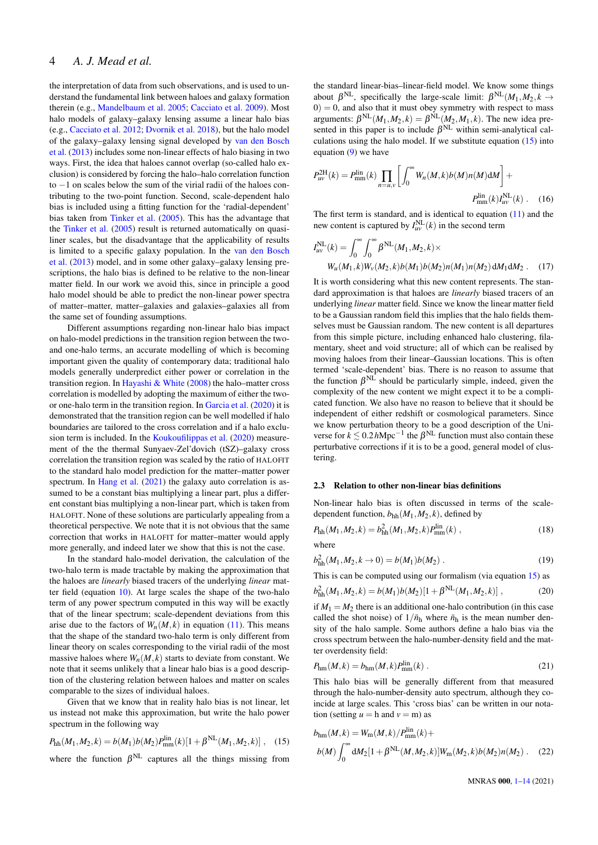## 4 *A. J. Mead et al.*

the interpretation of data from such observations, and is used to understand the fundamental link between haloes and galaxy formation therein (e.g., [Mandelbaum et al.](#page-14-3) [2005;](#page-14-3) [Cacciato et al.](#page-14-37) [2009\)](#page-14-37). Most halo models of galaxy–galaxy lensing assume a linear halo bias (e.g., [Cacciato et al.](#page-14-4) [2012;](#page-14-4) [Dvornik et al.](#page-14-38) [2018\)](#page-14-38), but the halo model of the galaxy–galaxy lensing signal developed by [van den Bosch](#page-14-39) [et al.](#page-14-39) [\(2013\)](#page-14-39) includes some non-linear effects of halo biasing in two ways. First, the idea that haloes cannot overlap (so-called halo exclusion) is considered by forcing the halo–halo correlation function to −1 on scales below the sum of the virial radii of the haloes contributing to the two-point function. Second, scale-dependent halo bias is included using a fitting function for the 'radial-dependent' bias taken from [Tinker et al.](#page-14-15) [\(2005\)](#page-14-15). This has the advantage that the [Tinker et al.](#page-14-15) [\(2005\)](#page-14-15) result is returned automatically on quasiliner scales, but the disadvantage that the applicability of results is limited to a specific galaxy population. In the [van den Bosch](#page-14-39) [et al.](#page-14-39) [\(2013\)](#page-14-39) model, and in some other galaxy–galaxy lensing prescriptions, the halo bias is defined to be relative to the non-linear matter field. In our work we avoid this, since in principle a good halo model should be able to predict the non-linear power spectra of matter–matter, matter–galaxies and galaxies–galaxies all from the same set of founding assumptions.

Different assumptions regarding non-linear halo bias impact on halo-model predictions in the transition region between the twoand one-halo terms, an accurate modelling of which is becoming important given the quality of contemporary data; traditional halo models generally underpredict either power or correlation in the transition region. In [Hayashi & White](#page-14-40)  $(2008)$  the halo–matter cross correlation is modelled by adopting the maximum of either the twoor one-halo term in the transition region. In [Garcia et al.](#page-14-41) [\(2020\)](#page-14-41) it is demonstrated that the transition region can be well modelled if halo boundaries are tailored to the cross correlation and if a halo exclusion term is included. In the [Koukoufilippas et al.](#page-14-12) [\(2020\)](#page-14-12) measurement of the the thermal Sunyaev-Zel'dovich (tSZ)–galaxy cross correlation the transition region was scaled by the ratio of HALOFIT to the standard halo model prediction for the matter–matter power spectrum. In [Hang et al.](#page-14-42) [\(2021\)](#page-14-42) the galaxy auto correlation is assumed to be a constant bias multiplying a linear part, plus a different constant bias multiplying a non-linear part, which is taken from HALOFIT. None of these solutions are particularly appealing from a theoretical perspective. We note that it is not obvious that the same correction that works in HALOFIT for matter–matter would apply more generally, and indeed later we show that this is not the case.

In the standard halo-model derivation, the calculation of the two-halo term is made tractable by making the approximation that the haloes are *linearly* biased tracers of the underlying *linear* matter field (equation [10\)](#page-3-4). At large scales the shape of the two-halo term of any power spectrum computed in this way will be exactly that of the linear spectrum; scale-dependent deviations from this arise due to the factors of  $W_n(M, k)$  in equation [\(11\)](#page-3-3). This means that the shape of the standard two-halo term is only different from linear theory on scales corresponding to the virial radii of the most massive haloes where  $W_n(M, k)$  starts to deviate from constant. We note that it seems unlikely that a linear halo bias is a good description of the clustering relation between haloes and matter on scales comparable to the sizes of individual haloes.

<span id="page-4-0"></span>Given that we know that in reality halo bias is not linear, let us instead not make this approximation, but write the halo power spectrum in the following way

$$
P_{\text{hh}}(M_1, M_2, k) = b(M_1)b(M_2)P_{\text{mm}}^{\text{lin}}(k)[1 + \beta^{\text{NL}}(M_1, M_2, k)], \quad (15)
$$

where the function  $\beta^{NL}$  captures all the things missing from

the standard linear-bias–linear-field model. We know some things about  $\beta^{NL}$ , specifically the large-scale limit:  $\beta^{NL}(M_1, M_2, k \rightarrow$  $0$ ) = 0, and also that it must obey symmetry with respect to mass arguments:  $\beta^{NL}(M_1, M_2, k) = \beta^{NL}(M_2, M_1, k)$ . The new idea presented in this paper is to include  $\beta^{NL}$  within semi-analytical calculations using the halo model. If we substitute equation  $(15)$  into equation [\(9\)](#page-3-1) we have

<span id="page-4-2"></span>
$$
P_{uv}^{\text{2H}}(k) = P_{mm}^{\text{lin}}(k) \prod_{n=u,v} \left[ \int_0^\infty W_n(M,k)b(M)n(M) \, \mathrm{d}M \right] +
$$
  

$$
P_{mm}^{\text{lin}}(k)I_{uv}^{\text{NL}}(k) \,. \tag{16}
$$

The first term is standard, and is identical to equation  $(11)$  and the new content is captured by  $I_{uv}^{\text{NL}}(k)$  in the second term

$$
I_{uv}^{NL}(k) = \int_0^\infty \int_0^\infty \beta^{NL}(M_1, M_2, k) \times
$$
  
 
$$
W_u(M_1, k)W_v(M_2, k)b(M_1)b(M_2)n(M_1)n(M_2) dM_1 dM_2.
$$
 (17)

<span id="page-4-6"></span>It is worth considering what this new content represents. The standard approximation is that haloes are *linearly* biased tracers of an underlying *linear* matter field. Since we know the linear matter field to be a Gaussian random field this implies that the halo fields themselves must be Gaussian random. The new content is all departures from this simple picture, including enhanced halo clustering, filamentary, sheet and void structure; all of which can be realised by moving haloes from their linear–Gaussian locations. This is often termed 'scale-dependent' bias. There is no reason to assume that the function  $\beta^{NL}$  should be particularly simple, indeed, given the complexity of the new content we might expect it to be a complicated function. We also have no reason to believe that it should be independent of either redshift or cosmological parameters. Since we know perturbation theory to be a good description of the Universe for  $k \lesssim 0.2 h \text{Mpc}^{-1}$  the  $\beta^{\text{NL}}$  function must also contain these perturbative corrections if it is to be a good, general model of clustering.

#### 2.3 Relation to other non-linear bias definitions

<span id="page-4-4"></span>Non-linear halo bias is often discussed in terms of the scaledependent function,  $b_{hh}(M_1, M_2, k)$ , defined by

$$
P_{\text{hh}}(M_1, M_2, k) = b_{\text{hh}}^2(M_1, M_2, k) P_{\text{mm}}^{\text{lin}}(k) ,
$$
\nwhere

$$
b_{\text{hh}}^2(M_1, M_2, k \to 0) = b(M_1)b(M_2) \tag{19}
$$

This is can be computed using our formalism (via equation [15\)](#page-4-0) as

$$
b_{\rm hh}^{2}(M_{1},M_{2},k) = b(M_{1})b(M_{2})[1 + \beta^{NL}(M_{1},M_{2},k)], \qquad (20)
$$

if  $M_1 = M_2$  there is an additional one-halo contribution (in this case called the shot noise) of  $1/\bar{n}_{h}$  where  $\bar{n}_{h}$  is the mean number density of the halo sample. Some authors define a halo bias via the cross spectrum between the halo-number-density field and the matter overdensity field:

<span id="page-4-5"></span>
$$
P_{\text{hm}}(M,k) = b_{\text{hm}}(M,k)P_{\text{mm}}^{\text{lin}}(k) \tag{21}
$$

This halo bias will be generally different from that measured through the halo-number-density auto spectrum, although they coincide at large scales. This 'cross bias' can be written in our notation (setting  $u = h$  and  $v = m$ ) as

$$
b_{\rm hm}(M,k) = W_{\rm m}(M,k)/P_{\rm mm}^{\rm lin}(k) +
$$
  

$$
b(M) \int_0^\infty dM_2 [1 + \beta^{\rm NL}(M,M_2,k)] W_{\rm m}(M_2,k) b(M_2) n(M_2).
$$
 (22)

<span id="page-4-3"></span><span id="page-4-1"></span>MNRAS 000, [1](#page-1-0)[–14](#page-12-0) (2021)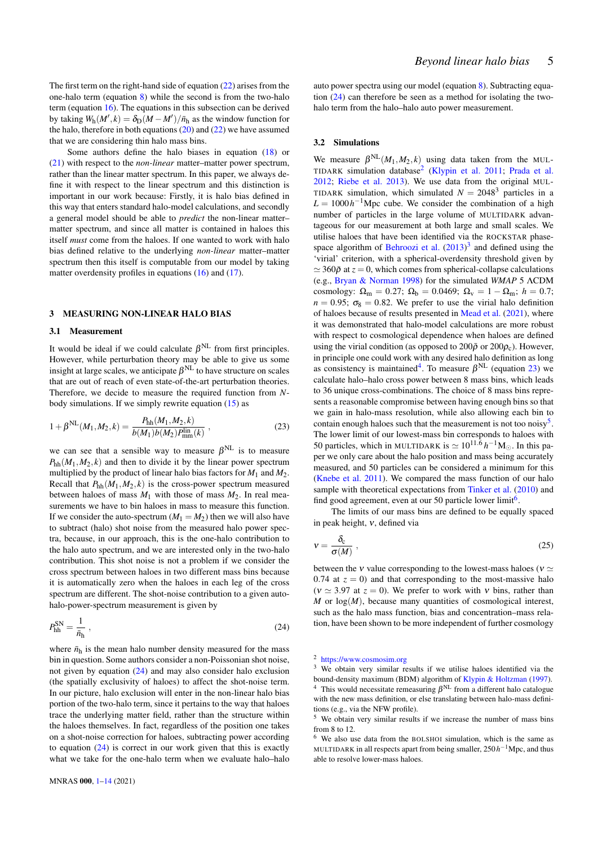The first term on the right-hand side of equation [\(22\)](#page-4-1) arises from the one-halo term (equation  $8$ ) while the second is from the two-halo term (equation  $16$ ). The equations in this subsection can be derived by taking  $W_h(M', k) = \delta_D(M - M') / \bar{n}_h$  as the window function for the halo, therefore in both equations  $(20)$  and  $(22)$  we have assumed that we are considering thin halo mass bins.

Some authors define the halo biases in equation [\(18\)](#page-4-4) or [\(21\)](#page-4-5) with respect to the *non-linear* matter–matter power spectrum, rather than the linear matter spectrum. In this paper, we always define it with respect to the linear spectrum and this distinction is important in our work because: Firstly, it is halo bias defined in this way that enters standard halo-model calculations, and secondly a general model should be able to *predict* the non-linear matter– matter spectrum, and since all matter is contained in haloes this itself *must* come from the haloes. If one wanted to work with halo bias defined relative to the underlying *non-linear* matter–matter spectrum then this itself is computable from our model by taking matter overdensity profiles in equations [\(16\)](#page-4-2) and [\(17\)](#page-4-6).

## <span id="page-5-0"></span>3 MEASURING NON-LINEAR HALO BIAS

#### 3.1 Measurement

It would be ideal if we could calculate  $\beta^{NL}$  from first principles. However, while perturbation theory may be able to give us some insight at large scales, we anticipate  $\beta^{\rm NL}$  to have structure on scales that are out of reach of even state-of-the-art perturbation theories. Therefore, we decide to measure the required function from *N*body simulations. If we simply rewrite equation [\(15\)](#page-4-0) as

$$
1 + \beta^{NL}(M_1, M_2, k) = \frac{P_{hh}(M_1, M_2, k)}{b(M_1)b(M_2)P_{mm}^{\text{lin}}(k)},
$$
\n(23)

we can see that a sensible way to measure  $\beta^{NL}$  is to measure  $P_{hh}(M_1, M_2, k)$  and then to divide it by the linear power spectrum multiplied by the product of linear halo bias factors for  $M_1$  and  $M_2$ . Recall that  $P_{hh}(M_1,M_2,k)$  is the cross-power spectrum measured between haloes of mass  $M_1$  with those of mass  $M_2$ . In real measurements we have to bin haloes in mass to measure this function. If we consider the auto-spectrum  $(M_1 = M_2)$  then we will also have to subtract (halo) shot noise from the measured halo power spectra, because, in our approach, this is the one-halo contribution to the halo auto spectrum, and we are interested only in the two-halo contribution. This shot noise is not a problem if we consider the cross spectrum between haloes in two different mass bins because it is automatically zero when the haloes in each leg of the cross spectrum are different. The shot-noise contribution to a given autohalo-power-spectrum measurement is given by

$$
P_{\text{hh}}^{\text{SN}} = \frac{1}{\bar{n}_{\text{h}}} \,, \tag{24}
$$

where  $\bar{n}_{h}$  is the mean halo number density measured for the mass bin in question. Some authors consider a non-Poissonian shot noise, not given by equation [\(24\)](#page-5-1) and may also consider halo exclusion (the spatially exclusivity of haloes) to affect the shot-noise term. In our picture, halo exclusion will enter in the non-linear halo bias portion of the two-halo term, since it pertains to the way that haloes trace the underlying matter field, rather than the structure within the haloes themselves. In fact, regardless of the position one takes on a shot-noise correction for haloes, subtracting power according to equation  $(24)$  is correct in our work given that this is exactly what we take for the one-halo term when we evaluate halo–halo

auto power spectra using our model (equation [8\)](#page-3-0). Subtracting equation [\(24\)](#page-5-1) can therefore be seen as a method for isolating the twohalo term from the halo–halo auto power measurement.

#### 3.2 Simulations

We measure  $\beta^{NL}(M_1, M_2, k)$  using data taken from the MUL-TIDARK simulation database<sup>[2](#page-5-2)</sup> [\(Klypin et al.](#page-14-43) [2011;](#page-14-43) [Prada et al.](#page-14-44) [2012;](#page-14-44) [Riebe et al.](#page-14-45) [2013\)](#page-14-45). We use data from the original MUL-TIDARK simulation, which simulated  $N = 2048<sup>3</sup>$  particles in a  $L = 1000h^{-1}$ Mpc cube. We consider the combination of a high number of particles in the large volume of MULTIDARK advantageous for our measurement at both large and small scales. We utilise haloes that have been identified via the ROCKSTAR phase-space algorithm of [Behroozi et al.](#page-14-46)  $(2013)^3$  $(2013)^3$  $(2013)^3$  and defined using the 'virial' criterion, with a spherical-overdensity threshold given by  $\simeq$  360 $\bar{\rho}$  at  $z = 0$ , which comes from spherical-collapse calculations (e.g., [Bryan & Norman](#page-14-47) [1998\)](#page-14-47) for the simulated *WMAP* 5 ΛCDM cosmology:  $\Omega_{\rm m} = 0.27$ ;  $\Omega_{\rm b} = 0.0469$ ;  $\Omega_{\rm v} = 1 - \Omega_{\rm m}$ ;  $h = 0.7$ ;  $n = 0.95$ ;  $\sigma_8 = 0.82$ . We prefer to use the virial halo definition of haloes because of results presented in [Mead et al.](#page-14-19) [\(2021\)](#page-14-19), where it was demonstrated that halo-model calculations are more robust with respect to cosmological dependence when haloes are defined using the virial condition (as opposed to  $200\bar{\rho}$  or  $200\rho_c$ ). However, in principle one could work with any desired halo definition as long as consistency is maintained<sup>[4](#page-5-4)</sup>. To measure  $\beta^{NL}$  (equation [23\)](#page-5-5) we calculate halo–halo cross power between 8 mass bins, which leads to 36 unique cross-combinations. The choice of 8 mass bins represents a reasonable compromise between having enough bins so that we gain in halo-mass resolution, while also allowing each bin to contain enough haloes such that the measurement is not too noisy<sup>[5](#page-5-6)</sup>. The lower limit of our lowest-mass bin corresponds to haloes with 50 particles, which in MULTIDARK is  $\simeq 10^{11.\overline{6}} h^{-1} M_{\odot}$ . In this paper we only care about the halo position and mass being accurately measured, and 50 particles can be considered a minimum for this [\(Knebe et al.](#page-14-48) [2011\)](#page-14-48). We compared the mass function of our halo sample with theoretical expectations from [Tinker et al.](#page-14-49) [\(2010\)](#page-14-49) and find good agreement, even at our 50 particle lower limit<sup>[6](#page-5-7)</sup>.

<span id="page-5-8"></span><span id="page-5-5"></span>The limits of our mass bins are defined to be equally spaced in peak height, ν, defined via

$$
v = \frac{\delta_{\rm c}}{\sigma(M)}\,,\tag{25}
$$

<span id="page-5-1"></span>between the *v* value corresponding to the lowest-mass haloes ( $v \simeq$ 0.74 at  $z = 0$ ) and that corresponding to the most-massive halo ( $v \approx 3.97$  at  $z = 0$ ). We prefer to work with v bins, rather than  $M$  or  $log(M)$ , because many quantities of cosmological interest, such as the halo mass function, bias and concentration–mass relation, have been shown to be more independent of further cosmology

<span id="page-5-2"></span><sup>2</sup> <https://www.cosmosim.org>

<span id="page-5-4"></span><span id="page-5-3"></span><sup>&</sup>lt;sup>3</sup> We obtain very similar results if we utilise haloes identified via the bound-density maximum (BDM) algorithm of [Klypin & Holtzman](#page-14-50) [\(1997\)](#page-14-50). <sup>4</sup> This would necessitate remeasuring  $\beta^{NL}$  from a different halo catalogue with the new mass definition, or else translating between halo-mass definitions (e.g., via the NFW profile).

<span id="page-5-6"></span><sup>5</sup> We obtain very similar results if we increase the number of mass bins from 8 to 12.

<span id="page-5-7"></span>We also use data from the BOLSHOI simulation, which is the same as MULTIDARK in all respects apart from being smaller, 250*h*<sup>-1</sup>Mpc, and thus able to resolve lower-mass haloes.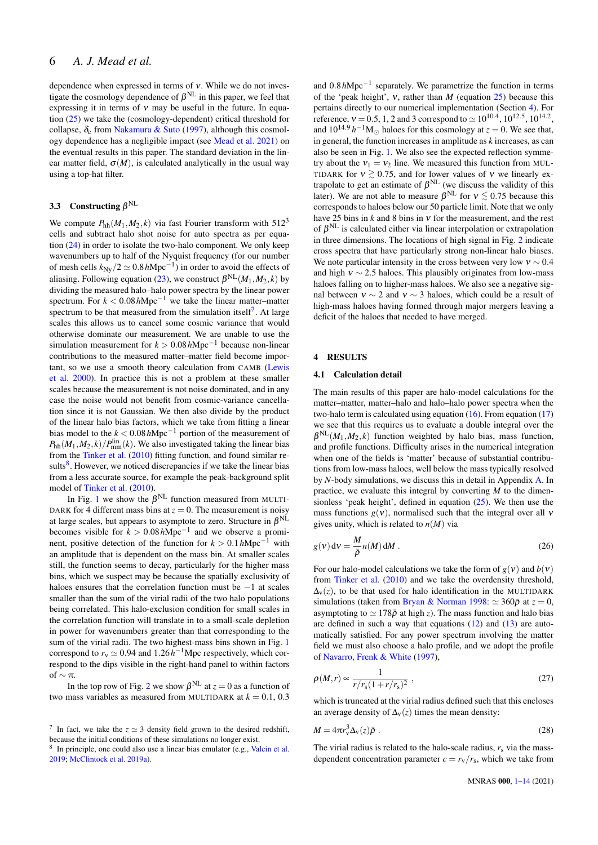dependence when expressed in terms of ν. While we do not investigate the cosmology dependence of  $\beta^{NL}$  in this paper, we feel that expressing it in terms of  $v$  may be useful in the future. In equation [\(25\)](#page-5-8) we take the (cosmology-dependent) critical threshold for collapse,  $\delta_c$  from [Nakamura & Suto](#page-14-51) [\(1997\)](#page-14-51), although this cosmology dependence has a negligible impact (see [Mead et al.](#page-14-19) [2021\)](#page-14-19) on the eventual results in this paper. The standard deviation in the linear matter field,  $\sigma(M)$ , is calculated analytically in the usual way using a top-hat filter.

## 3.3 Constructing  $\beta^{\text{NL}}$

We compute  $P_{hh}(M_1,M_2,k)$  via fast Fourier transform with 512<sup>3</sup> cells and subtract halo shot noise for auto spectra as per equation [\(24\)](#page-5-1) in order to isolate the two-halo component. We only keep wavenumbers up to half of the Nyquist frequency (for our number of mesh cells  $k_{\text{Ny}}/2 \simeq 0.8 \, h\text{Mpc}^{-1}$ ) in order to avoid the effects of aliasing. Following equation [\(23\)](#page-5-5), we construct  $\beta^{NL}(M_1, M_2, k)$  by dividing the measured halo–halo power spectra by the linear power spectrum. For *k* < 0.08*h*Mpc−<sup>1</sup> we take the linear matter–matter spectrum to be that measured from the simulation itself<sup>[7](#page-6-1)</sup>. At large scales this allows us to cancel some cosmic variance that would otherwise dominate our measurement. We are unable to use the simulation measurement for *k* > 0.08*h*Mpc−<sup>1</sup> because non-linear contributions to the measured matter–matter field become important, so we use a smooth theory calculation from CAMB [\(Lewis](#page-14-52) [et al.](#page-14-52) [2000\)](#page-14-52). In practice this is not a problem at these smaller scales because the measurement is not noise dominated, and in any case the noise would not benefit from cosmic-variance cancellation since it is not Gaussian. We then also divide by the product of the linear halo bias factors, which we take from fitting a linear bias model to the *k* < 0.08*h*Mpc−<sup>1</sup> portion of the measurement of  $P_{hh}(M_1, M_2, k)/P_{mm}^{lin}(k)$ . We also investigated taking the linear bias from the [Tinker et al.](#page-14-49) [\(2010\)](#page-14-49) fitting function, and found similar re-sults<sup>[8](#page-6-2)</sup>. However, we noticed discrepancies if we take the linear bias from a less accurate source, for example the peak-background split model of [Tinker et al.](#page-14-49) [\(2010\)](#page-14-49).

In Fig. [1](#page-7-0) we show the  $\beta^{NL}$  function measured from MULTI-DARK for 4 different mass bins at  $z = 0$ . The measurement is noisy at large scales, but appears to asymptote to zero. Structure in  $\beta^{\rm NL}$ becomes visible for  $k > 0.08 h \text{Mpc}^{-1}$  and we observe a prominent, positive detection of the function for  $k > 0.1 h \text{Mpc}^{-1}$  with an amplitude that is dependent on the mass bin. At smaller scales still, the function seems to decay, particularly for the higher mass bins, which we suspect may be because the spatially exclusivity of haloes ensures that the correlation function must be −1 at scales smaller than the sum of the virial radii of the two halo populations being correlated. This halo-exclusion condition for small scales in the correlation function will translate in to a small-scale depletion in power for wavenumbers greater than that corresponding to the sum of the virial radii. The two highest-mass bins shown in Fig. [1](#page-7-0) correspond to  $r_v \approx 0.94$  and  $1.26h^{-1}$ Mpc respectively, which correspond to the dips visible in the right-hand panel to within factors of  $\sim \pi$ .

In the top row of Fig. [2](#page-7-1) we show  $\beta^{NL}$  at  $z = 0$  as a function of two mass variables as measured from MULTIDARK at  $k = 0.1, 0.3$ 

and 0.8*h*Mpc−<sup>1</sup> separately. We parametrize the function in terms of the 'peak height', ν, rather than *M* (equation [25\)](#page-5-8) because this pertains directly to our numerical implementation (Section [4\)](#page-6-0). For reference,  $v = 0.5, 1, 2$  and 3 correspond to  $\simeq 10^{10.4}, 10^{12.5}, 10^{14.2}$ , and  $10^{14.9} h^{-1} M_{\odot}$  haloes for this cosmology at  $z = 0$ . We see that, in general, the function increases in amplitude as *k* increases, as can also be seen in Fig. [1.](#page-7-0) We also see the expected reflection symmetry about the  $v_1 = v_2$  line. We measured this function from MUL-TIDARK for  $v \ge 0.75$ , and for lower values of v we linearly extrapolate to get an estimate of  $\beta^{NL}$  (we discuss the validity of this later). We are not able to measure  $\beta^{NL}$  for  $v \lesssim 0.75$  because this corresponds to haloes below our 50 particle limit. Note that we only have 25 bins in *k* and 8 bins in ν for the measurement, and the rest of  $\beta^{NL}$  is calculated either via linear interpolation or extrapolation in three dimensions. The locations of high signal in Fig. [2](#page-7-1) indicate cross spectra that have particularly strong non-linear halo biases. We note particular intensity in the cross between very low  $v \sim 0.4$ and high  $v \sim 2.5$  haloes. This plausibly originates from low-mass haloes falling on to higher-mass haloes. We also see a negative signal between  $v \sim 2$  and  $v \sim 3$  haloes, which could be a result of high-mass haloes having formed through major mergers leaving a deficit of the haloes that needed to have merged.

## <span id="page-6-0"></span>4 RESULTS

#### 4.1 Calculation detail

The main results of this paper are halo-model calculations for the matter–matter, matter–halo and halo–halo power spectra when the two-halo term is calculated using equation  $(16)$ . From equation  $(17)$ we see that this requires us to evaluate a double integral over the  $\beta^{NL}(M_1, M_2, k)$  function weighted by halo bias, mass function, and profile functions. Difficulty arises in the numerical integration when one of the fields is 'matter' because of substantial contributions from low-mass haloes, well below the mass typically resolved by *N*-body simulations, we discuss this in detail in Appendix [A.](#page-14-29) In practice, we evaluate this integral by converting *M* to the dimensionless 'peak height', defined in equation [\(25\)](#page-5-8). We then use the mass functions  $g(v)$ , normalised such that the integral over all v gives unity, which is related to  $n(M)$  via

$$
g(v) dv = \frac{M}{\bar{\rho}} n(M) dM.
$$
 (26)

For our halo-model calculations we take the form of  $g(v)$  and  $b(v)$ from [Tinker et al.](#page-14-49) [\(2010\)](#page-14-49) and we take the overdensity threshold,  $\Delta_{\rm V}(z)$ , to be that used for halo identification in the MULTIDARK simulations (taken from [Bryan & Norman](#page-14-47) [1998:](#page-14-47)  $\simeq 360\bar{\rho}$  at  $z = 0$ , asymptoting to  $\simeq 178\bar{\rho}$  at high *z*). The mass function and halo bias are defined in such a way that equations  $(12)$  and  $(13)$  are automatically satisfied. For any power spectrum involving the matter field we must also choose a halo profile, and we adopt the profile of [Navarro, Frenk & White](#page-14-55) [\(1997\)](#page-14-55),

$$
\rho(M,r) \propto \frac{1}{r/r_s(1+r/r_s)^2} \,,\tag{27}
$$

which is truncated at the virial radius defined such that this encloses an average density of  $\Delta_v(z)$  times the mean density:

$$
M = 4\pi r_v^3 \Delta_v(z) \bar{\rho} \ . \tag{28}
$$

The virial radius is related to the halo-scale radius,  $r<sub>s</sub>$  via the massdependent concentration parameter  $c = r_v/r_s$ , which we take from

<span id="page-6-1"></span><sup>&</sup>lt;sup>7</sup> In fact, we take the  $z \approx 3$  density field grown to the desired redshift, because the initial conditions of these simulations no longer exist.

<span id="page-6-2"></span><sup>8</sup> In principle, one could also use a linear bias emulator (e.g., [Valcin et al.](#page-14-53) [2019;](#page-14-53) [McClintock et al.](#page-14-54) [2019a\)](#page-14-54).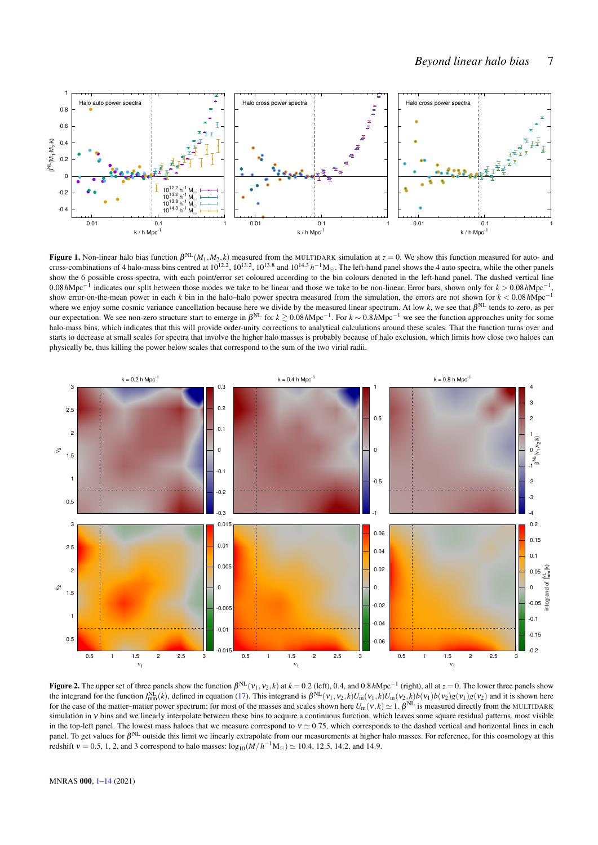

<span id="page-7-0"></span>**Figure 1.** Non-linear halo bias function  $\beta^{NL}(M_1, M_2, k)$  measured from the MULTIDARK simulation at  $z = 0$ . We show this function measured for auto- and cross-combinations of 4 halo-mass bins centred at  $10^{12.2}$ ,  $10^{13.2}$ ,  $10^{13.8}$  and  $10^{14.3}$   $h^{-1}$ M<sub> $\odot$ </sub>. The left-hand panel shows the 4 auto spectra, while the other panels show the 6 possible cross spectra, with each point/error set coloured according to the bin colours denoted in the left-hand panel. The dashed vertical line 0.08*h*Mpc−<sup>1</sup> indicates our split between those modes we take to be linear and those we take to be non-linear. Error bars, shown only for *k* > 0.08*h*Mpc−<sup>1</sup> , show error-on-the-mean power in each *k* bin in the halo–halo power spectra measured from the simulation, the errors are not shown for *k* < 0.08*h*Mpc−<sup>1</sup> where we enjoy some cosmic variance cancellation because here we divide by the measured linear spectrum. At low  $k$ , we see that  $\beta^{NL}$  tends to zero, as per our expectation. We see non-zero structure start to emerge in β NL for *k* ><sup>∼</sup> 0.08*h*Mpc−<sup>1</sup> . For *k* ∼ 0.8*h*Mpc−<sup>1</sup> we see the function approaches unity for some halo-mass bins, which indicates that this will provide order-unity corrections to analytical calculations around these scales. That the function turns over and starts to decrease at small scales for spectra that involve the higher halo masses is probably because of halo exclusion, which limits how close two haloes can physically be, thus killing the power below scales that correspond to the sum of the two virial radii.



<span id="page-7-1"></span>Figure 2. The upper set of three panels show the function  $\beta^{NL}(v_1, v_2, k)$  at  $k = 0.2$  (left), 0.4, and 0.8*h*Mpc<sup>-1</sup> (right), all at  $z = 0$ . The lower three panels show the integrand for the function  $I_{mm}^{NL}(k)$ , defined in equation [\(17\)](#page-4-6). This integrand is  $\beta^{NL}(v_1, v_2, k)U_m(v_1, k)U_m(v_2, k)b(v_1)b(v_2)g(v_1)g(v_2)$  and it is shown here for the case of the matter–matter power spectrum; for most of the masses and scales shown here  $U_m(v, k) \simeq 1$ .  $\beta^{NL}$  is measured directly from the MULTIDARK simulation in ν bins and we linearly interpolate between these bins to acquire a continuous function, which leaves some square residual patterns, most visible in the top-left panel. The lowest mass haloes that we measure correspond to  $v \approx 0.75$ , which corresponds to the dashed vertical and horizontal lines in each panel. To get values for  $\beta^{NL}$  outside this limit we linearly extrapolate from our measurements at higher halo masses. For reference, for this cosmology at this redshift  $v = 0.5, 1, 2$ , and 3 correspond to halo masses:  $\log_{10}(M/h^{-1}M_{\odot}) \simeq 10.4, 12.5, 14.2,$  and 14.9.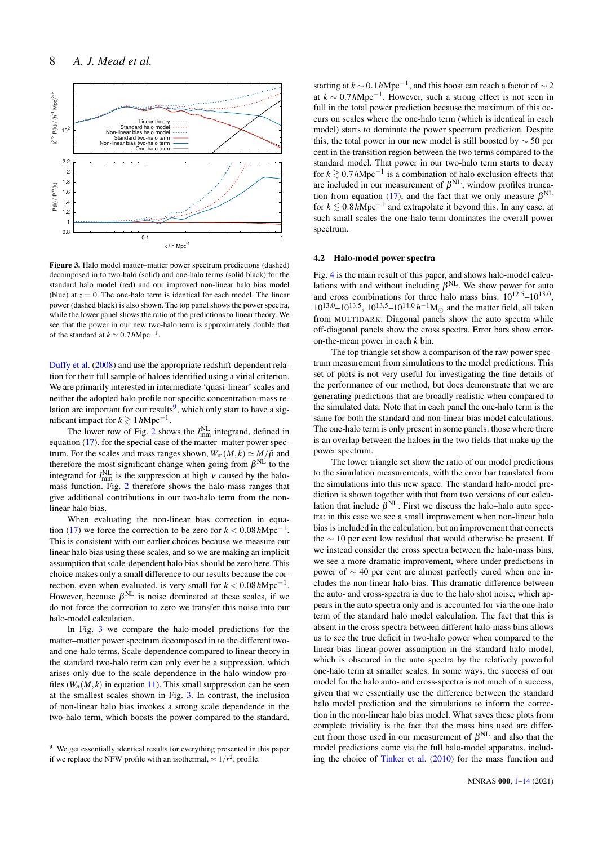

<span id="page-8-1"></span>Figure 3. Halo model matter–matter power spectrum predictions (dashed) decomposed in to two-halo (solid) and one-halo terms (solid black) for the standard halo model (red) and our improved non-linear halo bias model (blue) at  $z = 0$ . The one-halo term is identical for each model. The linear power (dashed black) is also shown. The top panel shows the power spectra, while the lower panel shows the ratio of the predictions to linear theory. We see that the power in our new two-halo term is approximately double that of the standard at  $k \simeq 0.7 h \text{Mpc}^{-1}$ .

[Duffy et al.](#page-14-56) [\(2008\)](#page-14-56) and use the appropriate redshift-dependent relation for their full sample of haloes identified using a virial criterion. We are primarily interested in intermediate 'quasi-linear' scales and neither the adopted halo profile nor specific concentration-mass re-lation are important for our results<sup>[9](#page-8-0)</sup>, which only start to have a significant impact for  $k \gtrsim 1 \, h \text{Mpc}^{-1}$ .

The lower row of Fig. [2](#page-7-1) shows the  $I_{mm}^{NL}$  integrand, defined in equation [\(17\)](#page-4-6), for the special case of the matter–matter power spectrum. For the scales and mass ranges shown,  $W_m(M, k) \simeq M/\bar{\rho}$  and therefore the most significant change when going from  $\beta^{NL}$  to the integrand for  $I_{mm}^{NL}$  is the suppression at high  $\nu$  caused by the halomass function. Fig. [2](#page-7-1) therefore shows the halo-mass ranges that give additional contributions in our two-halo term from the nonlinear halo bias.

When evaluating the non-linear bias correction in equa-tion [\(17\)](#page-4-6) we force the correction to be zero for  $k < 0.08 h \text{Mpc}^{-1}$ . This is consistent with our earlier choices because we measure our linear halo bias using these scales, and so we are making an implicit assumption that scale-dependent halo bias should be zero here. This choice makes only a small difference to our results because the correction, even when evaluated, is very small for  $k < 0.08 h Mpc^{-1}$ . However, because  $\beta^{NL}$  is noise dominated at these scales, if we do not force the correction to zero we transfer this noise into our halo-model calculation.

In Fig. [3](#page-8-1) we compare the halo-model predictions for the matter–matter power spectrum decomposed in to the different twoand one-halo terms. Scale-dependence compared to linear theory in the standard two-halo term can only ever be a suppression, which arises only due to the scale dependence in the halo window profiles  $(W_n(M, k)$  in equation [11\)](#page-3-3). This small suppression can be seen at the smallest scales shown in Fig. [3.](#page-8-1) In contrast, the inclusion of non-linear halo bias invokes a strong scale dependence in the two-halo term, which boosts the power compared to the standard,

starting at  $k \sim 0.1 h \text{Mpc}^{-1}$ , and this boost can reach a factor of  $\sim 2$ at  $k \sim 0.7 h \text{Mpc}^{-1}$ . However, such a strong effect is not seen in full in the total power prediction because the maximum of this occurs on scales where the one-halo term (which is identical in each model) starts to dominate the power spectrum prediction. Despite this, the total power in our new model is still boosted by  $\sim$  50 per cent in the transition region between the two terms compared to the standard model. That power in our two-halo term starts to decay for  $k \ge 0.7 h \text{Mpc}^{-1}$  is a combination of halo exclusion effects that are included in our measurement of  $\beta^{NL}$ , window profiles trunca-tion from equation [\(17\)](#page-4-6), and the fact that we only measure  $\beta^{NL}$ for  $k \lesssim 0.8 \, h \text{Mpc}^{-1}$  and extrapolate it beyond this. In any case, at such small scales the one-halo term dominates the overall power spectrum.

#### 4.2 Halo-model power spectra

Fig. [4](#page-9-0) is the main result of this paper, and shows halo-model calculations with and without including  $\beta^{NL}$ . We show power for auto and cross combinations for three halo mass bins:  $10^{12.5} - 10^{13.0}$ ,  $10^{13.0} - 10^{13.5}$ ,  $10^{13.5} - 10^{14.0} h^{-1}$ M<sub>☉</sub> and the matter field, all taken from MULTIDARK. Diagonal panels show the auto spectra while off-diagonal panels show the cross spectra. Error bars show erroron-the-mean power in each *k* bin.

The top triangle set show a comparison of the raw power spectrum measurement from simulations to the model predictions. This set of plots is not very useful for investigating the fine details of the performance of our method, but does demonstrate that we are generating predictions that are broadly realistic when compared to the simulated data. Note that in each panel the one-halo term is the same for both the standard and non-linear bias model calculations. The one-halo term is only present in some panels: those where there is an overlap between the haloes in the two fields that make up the power spectrum.

The lower triangle set show the ratio of our model predictions to the simulation measurements, with the error bar translated from the simulations into this new space. The standard halo-model prediction is shown together with that from two versions of our calculation that include  $\beta^{\text{NL}}$ . First we discuss the halo–halo auto spectra: in this case we see a small improvement when non-linear halo bias is included in the calculation, but an improvement that corrects the ∼ 10 per cent low residual that would otherwise be present. If we instead consider the cross spectra between the halo-mass bins, we see a more dramatic improvement, where under predictions in power of ∼ 40 per cent are almost perfectly cured when one includes the non-linear halo bias. This dramatic difference between the auto- and cross-spectra is due to the halo shot noise, which appears in the auto spectra only and is accounted for via the one-halo term of the standard halo model calculation. The fact that this is absent in the cross spectra between different halo-mass bins allows us to see the true deficit in two-halo power when compared to the linear-bias–linear-power assumption in the standard halo model, which is obscured in the auto spectra by the relatively powerful one-halo term at smaller scales. In some ways, the success of our model for the halo auto- and cross-spectra is not much of a success, given that we essentially use the difference between the standard halo model prediction and the simulations to inform the correction in the non-linear halo bias model. What saves these plots from complete triviality is the fact that the mass bins used are different from those used in our measurement of  $\beta^{NL}$  and also that the model predictions come via the full halo-model apparatus, including the choice of [Tinker et al.](#page-14-49) [\(2010\)](#page-14-49) for the mass function and

<span id="page-8-0"></span><sup>&</sup>lt;sup>9</sup> We get essentially identical results for everything presented in this paper if we replace the NFW profile with an isothermal,  $\sim 1/r^2$ , profile.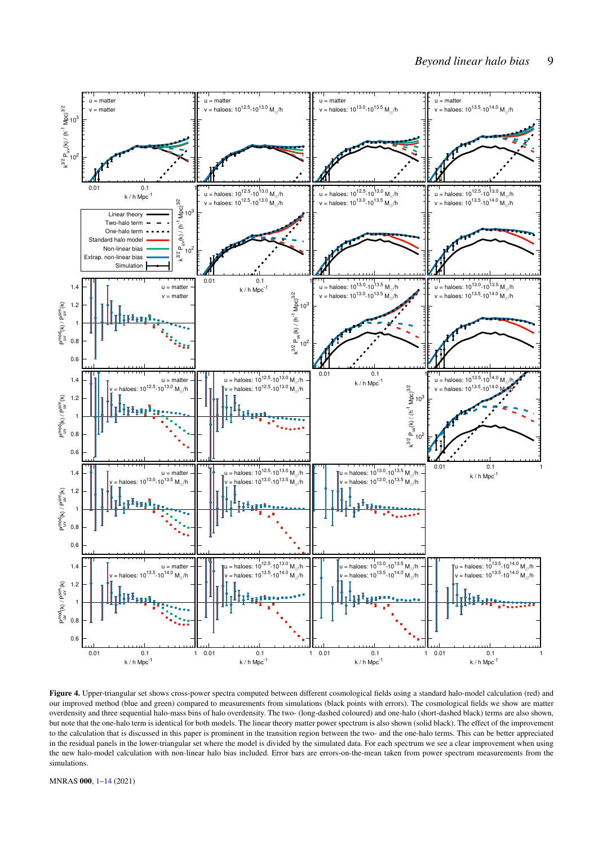

<span id="page-9-0"></span>Figure 4. Upper-triangular set shows cross-power spectra computed between different cosmological fields using a standard halo-model calculation (red) and our improved method (blue and green) compared to measurements from simulations (black points with errors). The cosmological fields we show are matter overdensity and three sequential halo-mass bins of halo overdensity. The two- (long-dashed coloured) and one-halo (short-dashed black) terms are also shown, but note that the one-halo term is identical for both models. The linear theory matter power spectrum is also shown (solid black). The effect of the improvement to the calculation that is discussed in this paper is prominent in the transition region between the two- and the one-halo terms. This can be better appreciated in the residual panels in the lower-triangular set where the model is divided by the simulated data. For each spectrum we see a clear improvement when using the new halo-model calculation with non-linear halo bias included. Error bars are errors-on-the-mean taken from power spectrum measurements from the simulations.

MNRAS 000, [1](#page-1-0)[–14](#page-12-0) (2021)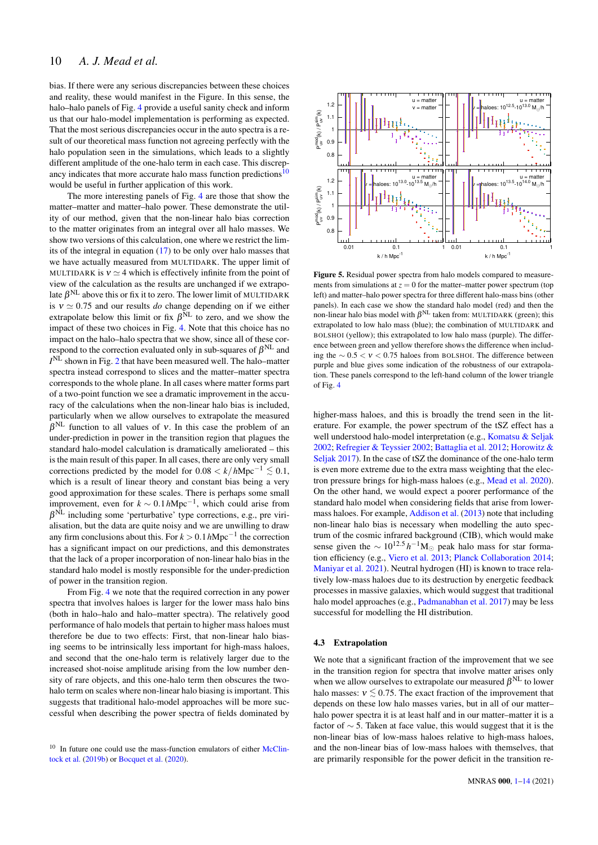bias. If there were any serious discrepancies between these choices and reality, these would manifest in the Figure. In this sense, the halo–halo panels of Fig. [4](#page-9-0) provide a useful sanity check and inform us that our halo-model implementation is performing as expected. That the most serious discrepancies occur in the auto spectra is a result of our theoretical mass function not agreeing perfectly with the halo population seen in the simulations, which leads to a slightly different amplitude of the one-halo term in each case. This discrepancy indicates that more accurate halo mass function predictions $10$ would be useful in further application of this work.

The more interesting panels of Fig. [4](#page-9-0) are those that show the matter–matter and matter–halo power. These demonstrate the utility of our method, given that the non-linear halo bias correction to the matter originates from an integral over all halo masses. We show two versions of this calculation, one where we restrict the limits of the integral in equation [\(17\)](#page-4-6) to be only over halo masses that we have actually measured from MULTIDARK. The upper limit of MULTIDARK is  $v \approx 4$  which is effectively infinite from the point of view of the calculation as the results are unchanged if we extrapolate  $\beta^{\rm NL}$  above this or fix it to zero. The lower limit of MULTIDARK is  $v \approx 0.75$  and our results *do* change depending on if we either extrapolate below this limit or fix  $\beta^{NL}$  to zero, and we show the impact of these two choices in Fig. [4.](#page-9-0) Note that this choice has no impact on the halo–halo spectra that we show, since all of these correspond to the correction evaluated only in sub-squares of  $\beta^{\rm NL}$  and *I* NL shown in Fig. [2](#page-7-1) that have been measured well. The halo–matter spectra instead correspond to slices and the matter–matter spectra corresponds to the whole plane. In all cases where matter forms part of a two-point function we see a dramatic improvement in the accuracy of the calculations when the non-linear halo bias is included, particularly when we allow ourselves to extrapolate the measured  $\beta^{NL}$  function to all values of v. In this case the problem of an under-prediction in power in the transition region that plagues the standard halo-model calculation is dramatically ameliorated – this is the main result of this paper. In all cases, there are only very small corrections predicted by the model for  $0.08 < k/h \text{Mpc}^{-1} \leq 0.1$ , which is a result of linear theory and constant bias being a very good approximation for these scales. There is perhaps some small improvement, even for  $k \sim 0.1 h \text{Mpc}^{-1}$ , which could arise from  $\beta^{NL}$  including some 'perturbative' type corrections, e.g., pre virialisation, but the data are quite noisy and we are unwilling to draw any firm conclusions about this. For *k* > 0.1*h*Mpc−<sup>1</sup> the correction has a significant impact on our predictions, and this demonstrates that the lack of a proper incorporation of non-linear halo bias in the standard halo model is mostly responsible for the under-prediction of power in the transition region. That the most series to keen the most series are the state particles are the state of the finder of the most state and the population sees in the similations, which leads to a slightly operator and the similations, which

From Fig. [4](#page-9-0) we note that the required correction in any power spectra that involves haloes is larger for the lower mass halo bins (both in halo–halo and halo–matter spectra). The relatively good performance of halo models that pertain to higher mass haloes must therefore be due to two effects: First, that non-linear halo biasing seems to be intrinsically less important for high-mass haloes, and second that the one-halo term is relatively larger due to the increased shot-noise amplitude arising from the low number density of rare objects, and this one-halo term then obscures the twohalo term on scales where non-linear halo biasing is important. This suggests that traditional halo-model approaches will be more successful when describing the power spectra of fields dominated by

<span id="page-10-0"></span>



<span id="page-10-1"></span>Figure 5. Residual power spectra from halo models compared to measurements from simulations at  $z = 0$  for the matter–matter power spectrum (top left) and matter–halo power spectra for three different halo-mass bins (other panels). In each case we show the standard halo model (red) and then the non-linear halo bias model with  $\beta^{NL}$  taken from: MULTIDARK (green); this extrapolated to low halo mass (blue); the combination of MULTIDARK and BOLSHOI (yellow); this extrapolated to low halo mass (purple). The difference between green and yellow therefore shows the difference when including the ∼ 0.5 < ν < 0.75 haloes from BOLSHOI. The difference between purple and blue gives some indication of the robustness of our extrapolation. These panels correspond to the left-hand column of the lower triangle of Fig. [4](#page-9-0)

higher-mass haloes, and this is broadly the trend seen in the literature. For example, the power spectrum of the tSZ effect has a well understood halo-model interpretation (e.g., [Komatsu & Seljak](#page-14-59) [2002;](#page-14-59) [Refregier & Teyssier](#page-14-60) [2002;](#page-14-60) [Battaglia et al.](#page-14-61) [2012;](#page-14-61) [Horowitz &](#page-14-62) [Seljak](#page-14-62) [2017\)](#page-14-62). In the case of tSZ the dominance of the one-halo term is even more extreme due to the extra mass weighting that the electron pressure brings for high-mass haloes (e.g., [Mead et al.](#page-14-63) [2020\)](#page-14-63). On the other hand, we would expect a poorer performance of the standard halo model when considering fields that arise from lowermass haloes. For example, [Addison et al.](#page-14-64) [\(2013\)](#page-14-64) note that including non-linear halo bias is necessary when modelling the auto spectrum of the cosmic infrared background (CIB), which would make sense given the  $\sim 10^{12.5} h^{-1} M_{\odot}$  peak halo mass for star formation efficiency (e.g., [Viero et al.](#page-14-65) [2013;](#page-14-65) [Planck Collaboration](#page-14-66) [2014;](#page-14-66) [Maniyar et al.](#page-14-67) [2021\)](#page-14-67). Neutral hydrogen (HI) is known to trace relatively low-mass haloes due to its destruction by energetic feedback processes in massive galaxies, which would suggest that traditional halo model approaches (e.g., [Padmanabhan et al.](#page-14-8) [2017\)](#page-14-8) may be less successful for modelling the HI distribution.

## <span id="page-10-2"></span>4.3 Extrapolation

We note that a significant fraction of the improvement that we see in the transition region for spectra that involve matter arises only when we allow ourselves to extrapolate our measured  $\beta^{NL}$  to lower halo masses:  $v \le 0.75$ . The exact fraction of the improvement that depends on these low halo masses varies, but in all of our matter– halo power spectra it is at least half and in our matter–matter it is a factor of ∼ 5. Taken at face value, this would suggest that it is the non-linear bias of low-mass haloes relative to high-mass haloes, and the non-linear bias of low-mass haloes with themselves, that are primarily responsible for the power deficit in the transition re-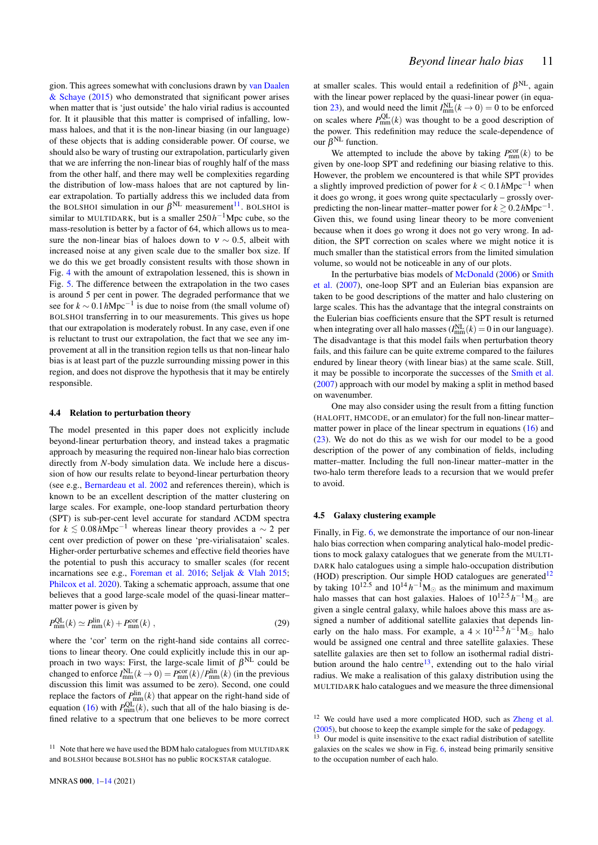gion. This agrees somewhat with conclusions drawn by [van Daalen](#page-14-68) [& Schaye](#page-14-68) [\(2015\)](#page-14-68) who demonstrated that significant power arises when matter that is 'just outside' the halo virial radius is accounted for. It it plausible that this matter is comprised of infalling, lowmass haloes, and that it is the non-linear biasing (in our language) of these objects that is adding considerable power. Of course, we should also be wary of trusting our extrapolation, particularly given that we are inferring the non-linear bias of roughly half of the mass from the other half, and there may well be complexities regarding the distribution of low-mass haloes that are not captured by linear extrapolation. To partially address this we included data from the BOLSHOI simulation in our  $\beta^{NL}$  measurement<sup>[11](#page-11-0)</sup>. BOLSHOI is similar to MULTIDARK, but is a smaller  $250h^{-1}$ Mpc cube, so the mass-resolution is better by a factor of 64, which allows us to measure the non-linear bias of haloes down to  $v \sim 0.5$ , albeit with increased noise at any given scale due to the smaller box size. If we do this we get broadly consistent results with those shown in Fig. [4](#page-9-0) with the amount of extrapolation lessened, this is shown in Fig. [5.](#page-10-1) The difference between the extrapolation in the two cases is around 5 per cent in power. The degraded performance that we see for  $k \sim 0.1 h \text{Mpc}^{-1}$  is due to noise from (the small volume of) BOLSHOI transferring in to our measurements. This gives us hope that our extrapolation is moderately robust. In any case, even if one is reluctant to trust our extrapolation, the fact that we see any improvement at all in the transition region tells us that non-linear halo bias is at least part of the puzzle surrounding missing power in this region, and does not disprove the hypothesis that it may be entirely responsible.

#### 4.4 Relation to perturbation theory

The model presented in this paper does not explicitly include beyond-linear perturbation theory, and instead takes a pragmatic approach by measuring the required non-linear halo bias correction directly from *N*-body simulation data. We include here a discussion of how our results relate to beyond-linear perturbation theory (see e.g., [Bernardeau et al.](#page-14-69) [2002](#page-14-69) and references therein), which is known to be an excellent description of the matter clustering on large scales. For example, one-loop standard perturbation theory (SPT) is sub-per-cent level accurate for standard ΛCDM spectra for  $k ≤ 0.08h{\rm Mpc}^{-1}$  whereas linear theory provides a  $∼ 2$  per cent over prediction of power on these 'pre-virialisataion' scales. Higher-order perturbative schemes and effective field theories have the potential to push this accuracy to smaller scales (for recent incarnations see e.g., [Foreman et al.](#page-14-70) [2016;](#page-14-70) [Seljak & Vlah](#page-14-22) [2015;](#page-14-22) [Philcox et al.](#page-14-23) [2020\)](#page-14-23). Taking a schematic approach, assume that one believes that a good large-scale model of the quasi-linear matter– matter power is given by

$$
P_{\text{mm}}^{\text{QL}}(k) \simeq P_{\text{mm}}^{\text{lin}}(k) + P_{\text{mm}}^{\text{cor}}(k) \,, \tag{29}
$$

where the 'cor' term on the right-hand side contains all corrections to linear theory. One could explicitly include this in our approach in two ways: First, the large-scale limit of  $\beta^{\text{NL}}$  could be changed to enforce  $I_{mm}^{NL}(k \to 0) = P_{mm}^{cor}(k)/P_{mm}^{lin}(k)$  (in the previous discussion this limit was assumed to be zero). Second, one could replace the factors of  $P_{\text{mm}}^{\text{lin}}(k)$  that appear on the right-hand side of equation [\(16\)](#page-4-2) with  $P_{\text{mm}}^{\text{QL}}(k)$ , such that all of the halo biasing is defined relative to a spectrum that one believes to be more correct

at smaller scales. This would entail a redefinition of  $\beta^{NL}$ , again with the linear power replaced by the quasi-linear power (in equa-tion [23\)](#page-5-5), and would need the limit  $I_{mm}^{NL}(k \rightarrow 0) = 0$  to be enforced on scales where  $P_{mm}^{QL}(k)$  was thought to be a good description of the power. This redefinition may reduce the scale-dependence of our  $\beta^{NL}$  function.

We attempted to include the above by taking  $P_{mm}^{cor}(k)$  to be given by one-loop SPT and redefining our biasing relative to this. However, the problem we encountered is that while SPT provides a slightly improved prediction of power for *k* < 0.1*h*Mpc−<sup>1</sup> when it does go wrong, it goes wrong quite spectacularly – grossly overpredicting the non-linear matter–matter power for  $k \ge 0.2 h \text{Mpc}^{-1}$ . Given this, we found using linear theory to be more convenient because when it does go wrong it does not go very wrong. In addition, the SPT correction on scales where we might notice it is much smaller than the statistical errors from the limited simulation volume, so would not be noticeable in any of our plots.

In the perturbative bias models of [McDonald](#page-14-36) [\(2006\)](#page-14-36) or [Smith](#page-14-35) [et al.](#page-14-35) [\(2007\)](#page-14-35), one-loop SPT and an Eulerian bias expansion are taken to be good descriptions of the matter and halo clustering on large scales. This has the advantage that the integral constraints on the Eulerian bias coefficients ensure that the SPT result is returned when integrating over all halo masses  $(I_{mm}^{NL}(k) = 0$  in our language). The disadvantage is that this model fails when perturbation theory fails, and this failure can be quite extreme compared to the failures endured by linear theory (with linear bias) at the same scale. Still, it may be possible to incorporate the successes of the [Smith et al.](#page-14-35) [\(2007\)](#page-14-35) approach with our model by making a split in method based on wavenumber.

One may also consider using the result from a fitting function (HALOFIT, HMCODE, or an emulator) for the full non-linear matter– matter power in place of the linear spectrum in equations [\(16\)](#page-4-2) and [\(23\)](#page-5-5). We do not do this as we wish for our model to be a good description of the power of any combination of fields, including matter–matter. Including the full non-linear matter–matter in the two-halo term therefore leads to a recursion that we would prefer to avoid.

#### 4.5 Galaxy clustering example

Finally, in Fig. [6,](#page-12-1) we demonstrate the importance of our non-linear halo bias correction when comparing analytical halo-model predictions to mock galaxy catalogues that we generate from the MULTI-DARK halo catalogues using a simple halo-occupation distribution (HOD) prescription. Our simple HOD catalogues are generated<sup>[12](#page-11-1)</sup> by taking  $10^{12.5}$  and  $10^{14} h^{-1}$ M<sub>☉</sub> as the minimum and maximum halo masses that can host galaxies. Haloes of  $10^{12.5} h^{-1}$ M<sub>☉</sub> are given a single central galaxy, while haloes above this mass are assigned a number of additional satellite galaxies that depends linearly on the halo mass. For example, a  $4 \times 10^{12.5} h^{-1} M_{\odot}$  halo would be assigned one central and three satellite galaxies. These satellite galaxies are then set to follow an isothermal radial distribution around the halo centre $^{13}$  $^{13}$  $^{13}$ , extending out to the halo virial radius. We make a realisation of this galaxy distribution using the MULTIDARK halo catalogues and we measure the three dimensional

<span id="page-11-0"></span> $11$  Note that here we have used the BDM halo catalogues from MULTIDARK and BOLSHOI because BOLSHOI has no public ROCKSTAR catalogue.

<span id="page-11-1"></span> $12$  We could have used a more complicated HOD, such as [Zheng et al.](#page-14-71) [\(2005\)](#page-14-71), but choose to keep the example simple for the sake of pedagogy.

<span id="page-11-2"></span>Our model is quite insensitive to the exact radial distribution of satellite galaxies on the scales we show in Fig. [6,](#page-12-1) instead being primarily sensitive to the occupation number of each halo.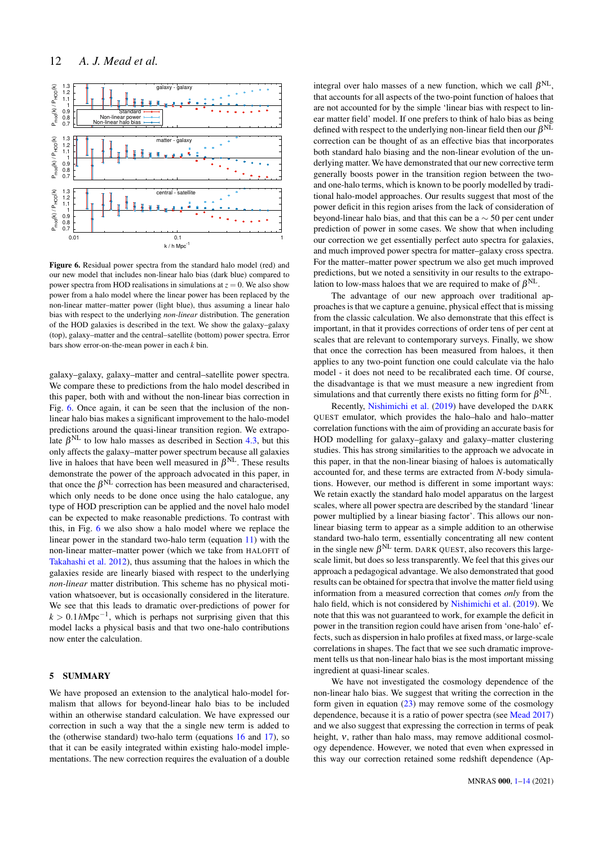

<span id="page-12-1"></span>Figure 6. Residual power spectra from the standard halo model (red) and our new model that includes non-linear halo bias (dark blue) compared to power spectra from HOD realisations in simulations at  $z = 0$ . We also show power from a halo model where the linear power has been replaced by the non-linear matter–matter power (light blue), thus assuming a linear halo bias with respect to the underlying *non-linear* distribution. The generation of the HOD galaxies is described in the text. We show the galaxy–galaxy (top), galaxy–matter and the central–satellite (bottom) power spectra. Error bars show error-on-the-mean power in each *k* bin.

galaxy–galaxy, galaxy–matter and central–satellite power spectra. We compare these to predictions from the halo model described in this paper, both with and without the non-linear bias correction in Fig. [6.](#page-12-1) Once again, it can be seen that the inclusion of the nonlinear halo bias makes a significant improvement to the halo-model predictions around the quasi-linear transition region. We extrapolate  $\beta^{NL}$  to low halo masses as described in Section [4.3,](#page-10-2) but this only affects the galaxy–matter power spectrum because all galaxies live in haloes that have been well measured in  $\beta^{NL}$ . These results demonstrate the power of the approach advocated in this paper, in that once the  $\beta^{\text{NL}}$  correction has been measured and characterised, which only needs to be done once using the halo catalogue, any type of HOD prescription can be applied and the novel halo model can be expected to make reasonable predictions. To contrast with this, in Fig. [6](#page-12-1) we also show a halo model where we replace the linear power in the standard two-halo term (equation [11\)](#page-3-3) with the non-linear matter–matter power (which we take from HALOFIT of [Takahashi et al.](#page-14-17) [2012\)](#page-14-17), thus assuming that the haloes in which the galaxies reside are linearly biased with respect to the underlying *non-linear* matter distribution. This scheme has no physical motivation whatsoever, but is occasionally considered in the literature. We see that this leads to dramatic over-predictions of power for  $k > 0.1 h \text{Mpc}^{-1}$ , which is perhaps not surprising given that this model lacks a physical basis and that two one-halo contributions now enter the calculation.

## <span id="page-12-0"></span>5 SUMMARY

We have proposed an extension to the analytical halo-model formalism that allows for beyond-linear halo bias to be included within an otherwise standard calculation. We have expressed our correction in such a way that the a single new term is added to the (otherwise standard) two-halo term (equations [16](#page-4-2) and [17\)](#page-4-6), so that it can be easily integrated within existing halo-model implementations. The new correction requires the evaluation of a double

integral over halo masses of a new function, which we call  $\beta^{NL}$ , that accounts for all aspects of the two-point function of haloes that are not accounted for by the simple 'linear bias with respect to linear matter field' model. If one prefers to think of halo bias as being defined with respect to the underlying non-linear field then our  $\beta^{NL}$ correction can be thought of as an effective bias that incorporates both standard halo biasing and the non-linear evolution of the underlying matter. We have demonstrated that our new corrective term generally boosts power in the transition region between the twoand one-halo terms, which is known to be poorly modelled by traditional halo-model approaches. Our results suggest that most of the power deficit in this region arises from the lack of consideration of beyond-linear halo bias, and that this can be a ∼ 50 per cent under prediction of power in some cases. We show that when including our correction we get essentially perfect auto spectra for galaxies, and much improved power spectra for matter–galaxy cross spectra. For the matter–matter power spectrum we also get much improved predictions, but we noted a sensitivity in our results to the extrapolation to low-mass haloes that we are required to make of  $\beta^{NL}$ .

The advantage of our new approach over traditional approaches is that we capture a genuine, physical effect that is missing from the classic calculation. We also demonstrate that this effect is important, in that it provides corrections of order tens of per cent at scales that are relevant to contemporary surveys. Finally, we show that once the correction has been measured from haloes, it then applies to any two-point function one could calculate via the halo model - it does not need to be recalibrated each time. Of course, the disadvantage is that we must measure a new ingredient from simulations and that currently there exists no fitting form for  $\beta^{NL}$ .

Recently, [Nishimichi et al.](#page-14-72) [\(2019\)](#page-14-72) have developed the DARK QUEST emulator, which provides the halo–halo and halo–matter correlation functions with the aim of providing an accurate basis for HOD modelling for galaxy–galaxy and galaxy–matter clustering studies. This has strong similarities to the approach we advocate in this paper, in that the non-linear biasing of haloes is automatically accounted for, and these terms are extracted from *N*-body simulations. However, our method is different in some important ways: We retain exactly the standard halo model apparatus on the largest scales, where all power spectra are described by the standard 'linear power multiplied by a linear biasing factor'. This allows our nonlinear biasing term to appear as a simple addition to an otherwise standard two-halo term, essentially concentrating all new content in the single new  $\beta^{NL}$  term. DARK QUEST, also recovers this largescale limit, but does so less transparently. We feel that this gives our approach a pedagogical advantage. We also demonstrated that good results can be obtained for spectra that involve the matter field using information from a measured correction that comes *only* from the halo field, which is not considered by [Nishimichi et al.](#page-14-72) [\(2019\)](#page-14-72). We note that this was not guaranteed to work, for example the deficit in power in the transition region could have arisen from 'one-halo' effects, such as dispersion in halo profiles at fixed mass, or large-scale correlations in shapes. The fact that we see such dramatic improvement tells us that non-linear halo bias is the most important missing ingredient at quasi-linear scales.

We have not investigated the cosmology dependence of the non-linear halo bias. We suggest that writing the correction in the form given in equation  $(23)$  may remove some of the cosmology dependence, because it is a ratio of power spectra (see [Mead](#page-14-73) [2017\)](#page-14-73) and we also suggest that expressing the correction in terms of peak height, ν, rather than halo mass, may remove additional cosmology dependence. However, we noted that even when expressed in this way our correction retained some redshift dependence (Ap-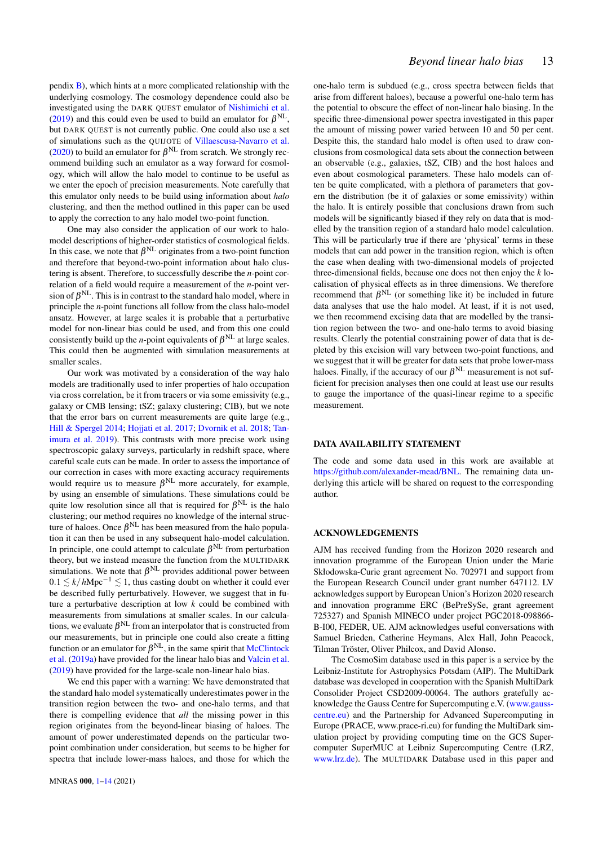pendix [B\)](#page-15-0), which hints at a more complicated relationship with the underlying cosmology. The cosmology dependence could also be investigated using the DARK QUEST emulator of [Nishimichi et al.](#page-14-72) [\(2019\)](#page-14-72) and this could even be used to build an emulator for  $\beta^{NL}$ , but DARK QUEST is not currently public. One could also use a set of simulations such as the QUIJOTE of [Villaescusa-Navarro et al.](#page-14-74) [\(2020\)](#page-14-74) to build an emulator for  $\beta^{NL}$  from scratch. We strongly recommend building such an emulator as a way forward for cosmology, which will allow the halo model to continue to be useful as we enter the epoch of precision measurements. Note carefully that this emulator only needs to be build using information about *halo* clustering, and then the method outlined in this paper can be used to apply the correction to any halo model two-point function.

One may also consider the application of our work to halomodel descriptions of higher-order statistics of cosmological fields. In this case, we note that  $\beta^{NL}$  originates from a two-point function and therefore that beyond-two-point information about halo clustering is absent. Therefore, to successfully describe the *n*-point correlation of a field would require a measurement of the *n*-point version of  $\beta^{\rm NL}$  . This is in contrast to the standard halo model, where in principle the *n*-point functions all follow from the class halo-model ansatz. However, at large scales it is probable that a perturbative model for non-linear bias could be used, and from this one could consistently build up the *n*-point equivalents of  $\beta^{NL}$  at large scales. This could then be augmented with simulation measurements at smaller scales.

Our work was motivated by a consideration of the way halo models are traditionally used to infer properties of halo occupation via cross correlation, be it from tracers or via some emissivity (e.g., galaxy or CMB lensing; tSZ; galaxy clustering; CIB), but we note that the error bars on current measurements are quite large (e.g., [Hill & Spergel](#page-14-6) [2014;](#page-14-6) [Hojjati et al.](#page-14-75) [2017;](#page-14-75) [Dvornik et al.](#page-14-38) [2018;](#page-14-38) [Tan](#page-14-11)[imura et al.](#page-14-11) [2019\)](#page-14-11). This contrasts with more precise work using spectroscopic galaxy surveys, particularly in redshift space, where careful scale cuts can be made. In order to assess the importance of our correction in cases with more exacting accuracy requirements would require us to measure  $\beta^{NL}$  more accurately, for example, by using an ensemble of simulations. These simulations could be quite low resolution since all that is required for  $\beta^{NL}$  is the halo clustering; our method requires no knowledge of the internal structure of haloes. Once  $\beta^{\mathrm{NL}}$  has been measured from the halo population it can then be used in any subsequent halo-model calculation. In principle, one could attempt to calculate  $\beta^{\textrm{NL}}$  from perturbation theory, but we instead measure the function from the MULTIDARK simulations. We note that  $\beta^{NL}$  provides additional power between 0.1  $\leq$  *k*/*h*Mpc<sup>−1</sup>  $\leq$  1, thus casting doubt on whether it could ever be described fully perturbatively. However, we suggest that in future a perturbative description at low *k* could be combined with measurements from simulations at smaller scales. In our calculations, we evaluate  $\beta^{\textrm{NL}}$  from an interpolator that is constructed from our measurements, but in principle one could also create a fitting function or an emulator for  $\beta^{\rm NL}$ , in the same spirit that [McClintock](#page-14-54) [et al.](#page-14-54) [\(2019a\)](#page-14-54) have provided for the linear halo bias and [Valcin et al.](#page-14-53) [\(2019\)](#page-14-53) have provided for the large-scale non-linear halo bias.

We end this paper with a warning: We have demonstrated that the standard halo model systematically underestimates power in the transition region between the two- and one-halo terms, and that there is compelling evidence that *all* the missing power in this region originates from the beyond-linear biasing of haloes. The amount of power underestimated depends on the particular twopoint combination under consideration, but seems to be higher for spectra that include lower-mass haloes, and those for which the one-halo term is subdued (e.g., cross spectra between fields that arise from different haloes), because a powerful one-halo term has the potential to obscure the effect of non-linear halo biasing. In the specific three-dimensional power spectra investigated in this paper the amount of missing power varied between 10 and 50 per cent. Despite this, the standard halo model is often used to draw conclusions from cosmological data sets about the connection between an observable (e.g., galaxies, tSZ, CIB) and the host haloes and even about cosmological parameters. These halo models can often be quite complicated, with a plethora of parameters that govern the distribution (be it of galaxies or some emissivity) within the halo. It is entirely possible that conclusions drawn from such models will be significantly biased if they rely on data that is modelled by the transition region of a standard halo model calculation. This will be particularly true if there are 'physical' terms in these models that can add power in the transition region, which is often the case when dealing with two-dimensional models of projected three-dimensional fields, because one does not then enjoy the *k* localisation of physical effects as in three dimensions. We therefore recommend that  $\beta^{NL}$  (or something like it) be included in future data analyses that use the halo model. At least, if it is not used, we then recommend excising data that are modelled by the transition region between the two- and one-halo terms to avoid biasing results. Clearly the potential constraining power of data that is depleted by this excision will vary between two-point functions, and we suggest that it will be greater for data sets that probe lower-mass haloes. Finally, if the accuracy of our  $\beta^{NL}$  measurement is not sufficient for precision analyses then one could at least use our results to gauge the importance of the quasi-linear regime to a specific measurement.

### DATA AVAILABILITY STATEMENT

The code and some data used in this work are available at [https://github.com/alexander-mead/BNL.](https://github.com/alexander-mead/BNL) The remaining data underlying this article will be shared on request to the corresponding author.

## ACKNOWLEDGEMENTS

AJM has received funding from the Horizon 2020 research and innovation programme of the European Union under the Marie Skłodowska-Curie grant agreement No. 702971 and support from the European Research Council under grant number 647112. LV acknowledges support by European Union's Horizon 2020 research and innovation programme ERC (BePreSySe, grant agreement 725327) and Spanish MINECO under project PGC2018-098866- B-I00, FEDER, UE. AJM acknowledges useful conversations with Samuel Brieden, Catherine Heymans, Alex Hall, John Peacock, Tilman Tröster, Oliver Philcox, and David Alonso.

The CosmoSim database used in this paper is a service by the Leibniz-Institute for Astrophysics Potsdam (AIP). The MultiDark database was developed in cooperation with the Spanish MultiDark Consolider Project CSD2009-00064. The authors gratefully acknowledge the Gauss Centre for Supercomputing e.V. [\(www.gauss](www.gauss-centre.eu)[centre.eu\)](www.gauss-centre.eu) and the Partnership for Advanced Supercomputing in Europe (PRACE, www.prace-ri.eu) for funding the MultiDark simulation project by providing computing time on the GCS Supercomputer SuperMUC at Leibniz Supercomputing Centre (LRZ, [www.lrz.de\)](www.lrz.de). The MULTIDARK Database used in this paper and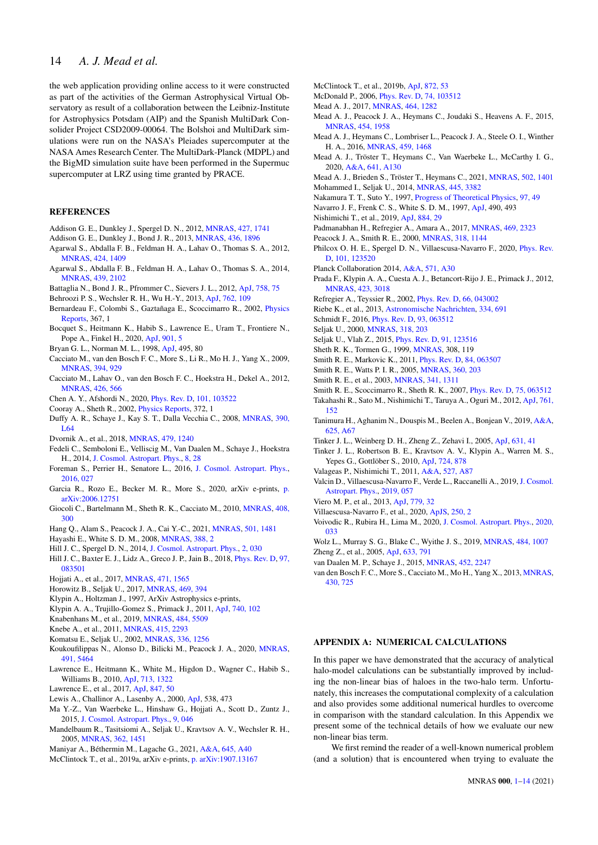## 14 *A. J. Mead et al.*

the web application providing online access to it were constructed as part of the activities of the German Astrophysical Virtual Observatory as result of a collaboration between the Leibniz-Institute for Astrophysics Potsdam (AIP) and the Spanish MultiDark Consolider Project CSD2009-00064. The Bolshoi and MultiDark simulations were run on the NASA's Pleiades supercomputer at the NASA Ames Research Center. The MultiDark-Planck (MDPL) and the BigMD simulation suite have been performed in the Supermuc supercomputer at LRZ using time granted by PRACE.

## **REFERENCES**

- <span id="page-14-5"></span>Addison G. E., Dunkley J., Spergel D. N., 2012, [MNRAS,](http://dx.doi.org/10.1111/j.1365-2966.2012.21664.x) [427, 1741](http://adsabs.harvard.edu/abs/2012MNRAS.427.1741A)
- <span id="page-14-64"></span>Addison G. E., Dunkley J., Bond J. R., 2013, [MNRAS,](http://dx.doi.org/10.1093/mnras/stt1703) [436, 1896](http://adsabs.harvard.edu/abs/2013MNRAS.436.1896A)
- <span id="page-14-25"></span>Agarwal S., Abdalla F. B., Feldman H. A., Lahav O., Thomas S. A., 2012, [MNRAS,](http://dx.doi.org/10.1111/j.1365-2966.2012.21326.x) [424, 1409](http://adsabs.harvard.edu/abs/2012MNRAS.424.1409A)
- <span id="page-14-26"></span>Agarwal S., Abdalla F. B., Feldman H. A., Lahav O., Thomas S. A., 2014, [MNRAS,](http://dx.doi.org/10.1093/mnras/stu090) [439, 2102](http://adsabs.harvard.edu/abs/2014MNRAS.439.2102A)
- <span id="page-14-61"></span>Battaglia N., Bond J. R., Pfrommer C., Sievers J. L., 2012, [ApJ,](http://dx.doi.org/10.1088/0004-637X/758/2/75) [758, 75](http://adsabs.harvard.edu/abs/2012ApJ...758...75B)
- <span id="page-14-46"></span>Behroozi P. S., Wechsler R. H., Wu H.-Y., 2013, [ApJ,](http://dx.doi.org/10.1088/0004-637X/762/2/109) [762, 109](https://ui.adsabs.harvard.edu/abs/2013ApJ...762..109B)
- <span id="page-14-69"></span>Bernardeau F., Colombi S., Gaztañaga E., Scoccimarro R., 2002, *[Physics](http://dx.doi.org/10.1016/S0370-1573(02)00135-7)* [Reports,](http://dx.doi.org/10.1016/S0370-1573(02)00135-7) 367, 1
- <span id="page-14-58"></span>Bocquet S., Heitmann K., Habib S., Lawrence E., Uram T., Frontiere N., Pope A., Finkel H., 2020, [ApJ,](http://dx.doi.org/10.3847/1538-4357/abac5c) [901, 5](https://ui.adsabs.harvard.edu/abs/2020ApJ...901....5B)
- <span id="page-14-47"></span>Bryan G. L., Norman M. L., 1998, [ApJ,](http://dx.doi.org/10.1086/305262) 495, 80
- <span id="page-14-37"></span>Cacciato M., van den Bosch F. C., More S., Li R., Mo H. J., Yang X., 2009, [MNRAS,](http://dx.doi.org/10.1111/j.1365-2966.2008.14362.x) [394, 929](http://adsabs.harvard.edu/abs/2009MNRAS.394..929C)
- <span id="page-14-4"></span>Cacciato M., Lahav O., van den Bosch F. C., Hoekstra H., Dekel A., 2012, [MNRAS,](http://dx.doi.org/10.1111/j.1365-2966.2012.21762.x) [426, 566](http://adsabs.harvard.edu/abs/2012MNRAS.426..566C)
- <span id="page-14-33"></span>Chen A. Y., Afshordi N., 2020, [Phys. Rev. D,](http://dx.doi.org/10.1103/PhysRevD.101.103522) [101, 103522](https://ui.adsabs.harvard.edu/abs/2020PhRvD.101j3522C)
- <span id="page-14-0"></span>Cooray A., Sheth R., 2002, [Physics Reports,](http://dx.doi.org/10.1016/S0370-1573(02)00276-4) 372, 1
- <span id="page-14-56"></span>Duffy A. R., Schaye J., Kay S. T., Dalla Vecchia C., 2008, [MNRAS,](http://dx.doi.org/10.1111/j.1745-3933.2008.00537.x) [390,](http://adsabs.harvard.edu/abs/2008MNRAS.390L..64D) [L64](http://adsabs.harvard.edu/abs/2008MNRAS.390L..64D)
- <span id="page-14-38"></span>Dvornik A., et al., 2018, [MNRAS,](http://dx.doi.org/10.1093/mnras/sty1502) [479, 1240](https://ui.adsabs.harvard.edu/abs/2018MNRAS.479.1240D)
- <span id="page-14-13"></span>Fedeli C., Semboloni E., Velliscig M., Van Daalen M., Schaye J., Hoekstra H., 2014, [J. Cosmol. Astropart. Phys.,](http://dx.doi.org/10.1088/1475-7516/2014/08/028) [8, 28](http://adsabs.harvard.edu/abs/2014JCAP...08..028F)
- <span id="page-14-70"></span>Foreman S., Perrier H., Senatore L., 2016, [J. Cosmol. Astropart. Phys.,](http://dx.doi.org/10.1088/1475-7516/2016/05/027) [2016, 027](https://ui.adsabs.harvard.edu/abs/2016JCAP...05..027F)
- <span id="page-14-41"></span>Garcia R., Rozo E., Becker M. R., More S., 2020, arXiv e-prints, [p.](https://ui.adsabs.harvard.edu/abs/2020arXiv200612751G) [arXiv:2006.12751](https://ui.adsabs.harvard.edu/abs/2020arXiv200612751G)
- <span id="page-14-31"></span>Giocoli C., Bartelmann M., Sheth R. K., Cacciato M., 2010, [MNRAS,](http://dx.doi.org/10.1111/j.1365-2966.2010.17108.x) [408,](http://adsabs.harvard.edu/abs/2010MNRAS.408..300G) [300](http://adsabs.harvard.edu/abs/2010MNRAS.408..300G)
- <span id="page-14-42"></span>Hang Q., Alam S., Peacock J. A., Cai Y.-C., 2021, [MNRAS,](http://dx.doi.org/10.1093/mnras/staa3738) [501, 1481](https://ui.adsabs.harvard.edu/abs/2021MNRAS.501.1481H)
- <span id="page-14-40"></span>Hayashi E., White S. D. M., 2008, [MNRAS,](http://dx.doi.org/10.1111/j.1365-2966.2008.13371.x) [388, 2](https://ui.adsabs.harvard.edu/abs/2008MNRAS.388....2H)
- <span id="page-14-6"></span>Hill J. C., Spergel D. N., 2014, [J. Cosmol. Astropart. Phys.,](http://dx.doi.org/10.1088/1475-7516/2014/02/030) [2, 030](http://adsabs.harvard.edu/abs/2014JCAP...02..030H)
- <span id="page-14-9"></span>Hill J. C., Baxter E. J., Lidz A., Greco J. P., Jain B., 2018, [Phys. Rev. D,](http://dx.doi.org/10.1103/PhysRevD.97.083501) [97,](http://adsabs.harvard.edu/abs/2018PhRvD..97h3501H) [083501](http://adsabs.harvard.edu/abs/2018PhRvD..97h3501H)
- <span id="page-14-75"></span>Hojjati A., et al., 2017, [MNRAS,](http://dx.doi.org/10.1093/mnras/stx1659) [471, 1565](http://adsabs.harvard.edu/abs/2017MNRAS.471.1565H)
- <span id="page-14-62"></span>Horowitz B., Seljak U., 2017, [MNRAS,](http://dx.doi.org/10.1093/mnras/stx766) [469, 394](http://adsabs.harvard.edu/abs/2017MNRAS.469..394H)
- <span id="page-14-50"></span>Klypin A., Holtzman J., 1997, ArXiv Astrophysics e-prints,
- <span id="page-14-43"></span>Klypin A. A., Trujillo-Gomez S., Primack J., 2011, [ApJ,](http://dx.doi.org/10.1088/0004-637X/740/2/102) [740, 102](http://adsabs.harvard.edu/abs/2011ApJ...740..102K)
- <span id="page-14-28"></span>Knabenhans M., et al., 2019, [MNRAS,](http://dx.doi.org/10.1093/mnras/stz197) [484, 5509](https://ui.adsabs.harvard.edu/abs/2019MNRAS.484.5509K)
- <span id="page-14-48"></span>Knebe A., et al., 2011, [MNRAS,](http://dx.doi.org/10.1111/j.1365-2966.2011.18858.x) [415, 2293](http://adsabs.harvard.edu/abs/2011MNRAS.415.2293K)
- <span id="page-14-59"></span>Komatsu E., Seljak U., 2002, [MNRAS,](http://dx.doi.org/10.1046/j.1365-8711.2002.05889.x) [336, 1256](http://adsabs.harvard.edu/abs/2002MNRAS.336.1256K)
- <span id="page-14-12"></span>Koukoufilippas N., Alonso D., Bilicki M., Peacock J. A., 2020, [MNRAS,](http://dx.doi.org/10.1093/mnras/stz3351) [491, 5464](https://ui.adsabs.harvard.edu/abs/2020MNRAS.491.5464K)
- <span id="page-14-24"></span>Lawrence E., Heitmann K., White M., Higdon D., Wagner C., Habib S., Williams B., 2010, [ApJ,](http://dx.doi.org/10.1088/0004-637X/713/2/1322) [713, 1322](http://adsabs.harvard.edu/abs/2010ApJ...713.1322L)
- <span id="page-14-27"></span>Lawrence E., et al., 2017, [ApJ,](http://dx.doi.org/10.3847/1538-4357/aa86a9) [847, 50](http://adsabs.harvard.edu/abs/2017ApJ...847...50L)
- <span id="page-14-52"></span>Lewis A., Challinor A., Lasenby A., 2000, [ApJ,](http://dx.doi.org/10.1086/309179) 538, 473
- <span id="page-14-7"></span>Ma Y.-Z., Van Waerbeke L., Hinshaw G., Hojjati A., Scott D., Zuntz J., 2015, [J. Cosmol. Astropart. Phys.,](http://dx.doi.org/10.1088/1475-7516/2015/09/046) [9, 046](http://adsabs.harvard.edu/abs/2015JCAP...09..046M)
- <span id="page-14-3"></span>Mandelbaum R., Tasitsiomi A., Seljak U., Kravtsov A. V., Wechsler R. H., 2005, [MNRAS,](http://dx.doi.org/10.1111/j.1365-2966.2005.09417.x) [362, 1451](http://adsabs.harvard.edu/abs/2005MNRAS.362.1451M)
- <span id="page-14-67"></span>Maniyar A., Béthermin M., Lagache G., 2021, [A&A,](http://dx.doi.org/10.1051/0004-6361/202038790) [645, A40](https://ui.adsabs.harvard.edu/abs/2021A&A...645A..40M)
- <span id="page-14-54"></span>McClintock T., et al., 2019a, arXiv e-prints, [p. arXiv:1907.13167](https://ui.adsabs.harvard.edu/abs/2019arXiv190713167M)
- <span id="page-14-57"></span>McClintock T., et al., 2019b, [ApJ,](http://dx.doi.org/10.3847/1538-4357/aaf568) [872, 53](https://ui.adsabs.harvard.edu/abs/2019ApJ...872...53M)
- <span id="page-14-36"></span>McDonald P., 2006, [Phys. Rev. D,](http://dx.doi.org/10.1103/PhysRevD.74.103512) [74, 103512](https://ui.adsabs.harvard.edu/abs/2006PhRvD..74j3512M)
- <span id="page-14-73"></span>Mead A. J., 2017, [MNRAS,](http://dx.doi.org/10.1093/mnras/stw2312) [464, 1282](http://adsabs.harvard.edu/abs/2017MNRAS.464.1282M)
- <span id="page-14-14"></span>Mead A. J., Peacock J. A., Heymans C., Joudaki S., Heavens A. F., 2015, [MNRAS,](http://dx.doi.org/10.1093/mnras/stv2036) [454, 1958](http://adsabs.harvard.edu/abs/2015MNRAS.454.1958M)
- <span id="page-14-18"></span>Mead A. J., Heymans C., Lombriser L., Peacock J. A., Steele O. I., Winther H. A., 2016, [MNRAS,](http://dx.doi.org/10.1093/mnras/stw681) [459, 1468](http://adsabs.harvard.edu/abs/2016MNRAS.459.1468M)
- <span id="page-14-63"></span>Mead A. J., Tröster T., Heymans C., Van Waerbeke L., McCarthy I. G., 2020, [A&A,](http://dx.doi.org/10.1051/0004-6361/202038308) [641, A130](https://ui.adsabs.harvard.edu/abs/2020A&A...641A.130M)
- <span id="page-14-19"></span>Mead A. J., Brieden S., Tröster T., Heymans C., 2021, [MNRAS,](http://dx.doi.org/10.1093/mnras/stab082) [502, 1401](https://ui.adsabs.harvard.edu/abs/2021MNRAS.502.1401M)
- <span id="page-14-21"></span>Mohammed I., Seljak U., 2014, [MNRAS,](http://dx.doi.org/10.1093/mnras/stu1972) [445, 3382](https://ui.adsabs.harvard.edu/abs/2014MNRAS.445.3382M)
- <span id="page-14-51"></span>Nakamura T. T., Suto Y., 1997, [Progress of Theoretical Physics,](http://dx.doi.org/10.1143/PTP.97.49) [97, 49](http://adsabs.harvard.edu/abs/1997PThPh..97...49N)
- <span id="page-14-55"></span>Navarro J. F., Frenk C. S., White S. D. M., 1997, [ApJ,](http://dx.doi.org/10.1086/304888) 490, 493
- <span id="page-14-72"></span>Nishimichi T., et al., 2019, [ApJ,](http://dx.doi.org/10.3847/1538-4357/ab3719) [884, 29](https://ui.adsabs.harvard.edu/abs/2019ApJ...884...29N)
- <span id="page-14-8"></span>Padmanabhan H., Refregier A., Amara A., 2017, [MNRAS,](http://dx.doi.org/10.1093/mnras/stx979) [469, 2323](http://adsabs.harvard.edu/abs/2017MNRAS.469.2323P)
- <span id="page-14-2"></span>Peacock J. A., Smith R. E., 2000, [MNRAS,](http://dx.doi.org/10.1046/j.1365-8711.2000.03779.x) [318, 1144](http://adsabs.harvard.edu/abs/2000MNRAS.318.1144P)
- <span id="page-14-23"></span>Philcox O. H. E., Spergel D. N., Villaescusa-Navarro F., 2020, [Phys. Rev.](http://dx.doi.org/10.1103/PhysRevD.101.123520) [D,](http://dx.doi.org/10.1103/PhysRevD.101.123520) [101, 123520](https://ui.adsabs.harvard.edu/abs/2020PhRvD.101l3520P)
- <span id="page-14-66"></span>Planck Collaboration 2014, [A&A,](http://dx.doi.org/10.1051/0004-6361/201322093) [571, A30](https://ui.adsabs.harvard.edu/abs/2014A&A...571A..30P)
- <span id="page-14-44"></span>Prada F., Klypin A. A., Cuesta A. J., Betancort-Rijo J. E., Primack J., 2012, [MNRAS,](http://dx.doi.org/10.1111/j.1365-2966.2012.21007.x) [423, 3018](http://adsabs.harvard.edu/abs/2012MNRAS.423.3018P)
- <span id="page-14-60"></span>Refregier A., Teyssier R., 2002, [Phys. Rev. D,](http://dx.doi.org/10.1103/PhysRevD.66.043002) [66, 043002](http://adsabs.harvard.edu/abs/2002PhRvD..66d3002R)
- <span id="page-14-45"></span>Riebe K., et al., 2013, [Astronomische Nachrichten,](http://dx.doi.org/10.1002/asna.201211900) [334, 691](http://adsabs.harvard.edu/abs/2013AN....334..691R)
- <span id="page-14-77"></span>Schmidt F., 2016, [Phys. Rev. D,](http://dx.doi.org/10.1103/PhysRevD.93.063512) [93, 063512](https://ui.adsabs.harvard.edu/abs/2016PhRvD..93f3512S)
- <span id="page-14-1"></span>Seljak U., 2000, [MNRAS,](http://dx.doi.org/10.1046/j.1365-8711.2000.03715.x) [318, 203](http://adsabs.harvard.edu/abs/2000MNRAS.318..203S)
- <span id="page-14-22"></span>Seljak U., Vlah Z., 2015, [Phys. Rev. D,](http://dx.doi.org/10.1103/PhysRevD.91.123516) [91, 123516](http://adsabs.harvard.edu/abs/2015PhRvD..91l3516S)
- <span id="page-14-76"></span>Sheth R. K., Tormen G., 1999, [MNRAS,](http://dx.doi.org/10.1046/j.1365-8711.1999.02692.x) 308, 119
- <span id="page-14-32"></span>Smith R. E., Markovic K., 2011, [Phys. Rev. D,](http://dx.doi.org/10.1103/PhysRevD.84.063507) [84, 063507](http://adsabs.harvard.edu/abs/2011PhRvD..84f3507S)
- <span id="page-14-30"></span>Smith R. E., Watts P. I. R., 2005, [MNRAS,](http://dx.doi.org/10.1111/j.1365-2966.2005.09053.x) [360, 203](http://adsabs.harvard.edu/abs/2005MNRAS.360..203S)
- <span id="page-14-16"></span>Smith R. E., et al., 2003, [MNRAS,](http://dx.doi.org/10.1046/j.1365-8711.2003.06503.x) [341, 1311](http://adsabs.harvard.edu/abs/2003MNRAS.341.1311S)
- <span id="page-14-35"></span>Smith R. E., Scoccimarro R., Sheth R. K., 2007, [Phys. Rev. D,](http://dx.doi.org/10.1103/PhysRevD.75.063512) [75, 063512](http://adsabs.harvard.edu/abs/2007PhRvD..75f3512S)
- <span id="page-14-17"></span>Takahashi R., Sato M., Nishimichi T., Taruya A., Oguri M., 2012, [ApJ,](http://dx.doi.org/10.1088/0004-637X/761/2/152) [761,](http://adsabs.harvard.edu/abs/2012ApJ...761..152T) [152](http://adsabs.harvard.edu/abs/2012ApJ...761..152T)
- <span id="page-14-11"></span>Tanimura H., Aghanim N., Douspis M., Beelen A., Bonjean V., 2019, [A&A,](http://dx.doi.org/10.1051/0004-6361/201833413) [625, A67](https://ui.adsabs.harvard.edu/abs/2019A&A...625A..67T)
- <span id="page-14-15"></span>Tinker J. L., Weinberg D. H., Zheng Z., Zehavi I., 2005, [ApJ,](http://dx.doi.org/10.1086/432084) [631, 41](http://adsabs.harvard.edu/abs/2005ApJ...631...41T)
- <span id="page-14-49"></span>Tinker J. L., Robertson B. E., Kravtsov A. V., Klypin A., Warren M. S., Yepes G., Gottlöber S., 2010, [ApJ,](http://dx.doi.org/10.1088/0004-637X/724/2/878) [724, 878](http://adsabs.harvard.edu/abs/2010ApJ...724..878T)
- <span id="page-14-20"></span>Valageas P., Nishimichi T., 2011, [A&A,](http://dx.doi.org/10.1051/0004-6361/201015685) [527, A87](http://adsabs.harvard.edu/abs/2011A%26A...527A..87V)
- <span id="page-14-53"></span>Valcin D., Villaescusa-Navarro F., Verde L., Raccanelli A., 2019, [J. Cosmol.](http://dx.doi.org/10.1088/1475-7516/2019/12/057) [Astropart. Phys.,](http://dx.doi.org/10.1088/1475-7516/2019/12/057) [2019, 057](https://ui.adsabs.harvard.edu/abs/2019JCAP...12..057V)
- <span id="page-14-65"></span>Viero M. P., et al., 2013, [ApJ,](http://dx.doi.org/10.1088/0004-637X/779/1/32) [779, 32](https://ui.adsabs.harvard.edu/abs/2013ApJ...779...32V)
- <span id="page-14-74"></span>Villaescusa-Navarro F., et al., 2020, [ApJS,](http://dx.doi.org/10.3847/1538-4365/ab9d82) [250, 2](https://ui.adsabs.harvard.edu/abs/2020ApJS..250....2V)
- <span id="page-14-34"></span>Voivodic R., Rubira H., Lima M., 2020, [J. Cosmol. Astropart. Phys.,](http://dx.doi.org/10.1088/1475-7516/2020/10/033) [2020,](https://ui.adsabs.harvard.edu/abs/2020JCAP...10..033V) [033](https://ui.adsabs.harvard.edu/abs/2020JCAP...10..033V)
- <span id="page-14-10"></span>Wolz L., Murray S. G., Blake C., Wyithe J. S., 2019, [MNRAS,](http://dx.doi.org/10.1093/mnras/sty3142) [484, 1007](https://ui.adsabs.harvard.edu/abs/2019MNRAS.484.1007W)
- <span id="page-14-71"></span>Zheng Z., et al., 2005, [ApJ,](http://dx.doi.org/10.1086/466510) [633, 791](http://adsabs.harvard.edu/abs/2005ApJ...633..791Z)
- <span id="page-14-68"></span>van Daalen M. P., Schaye J., 2015, [MNRAS,](http://dx.doi.org/10.1093/mnras/stv1456) [452, 2247](http://adsabs.harvard.edu/abs/2015MNRAS.452.2247V)
- <span id="page-14-39"></span>van den Bosch F. C., More S., Cacciato M., Mo H., Yang X., 2013, [MNRAS,](http://dx.doi.org/10.1093/mnras/sts006) [430, 725](http://adsabs.harvard.edu/abs/2013MNRAS.430..725V)

## <span id="page-14-29"></span>APPENDIX A: NUMERICAL CALCULATIONS

In this paper we have demonstrated that the accuracy of analytical halo-model calculations can be substantially improved by including the non-linear bias of haloes in the two-halo term. Unfortunately, this increases the computational complexity of a calculation and also provides some additional numerical hurdles to overcome in comparison with the standard calculation. In this Appendix we present some of the technical details of how we evaluate our new non-linear bias term.

We first remind the reader of a well-known numerical problem (and a solution) that is encountered when trying to evaluate the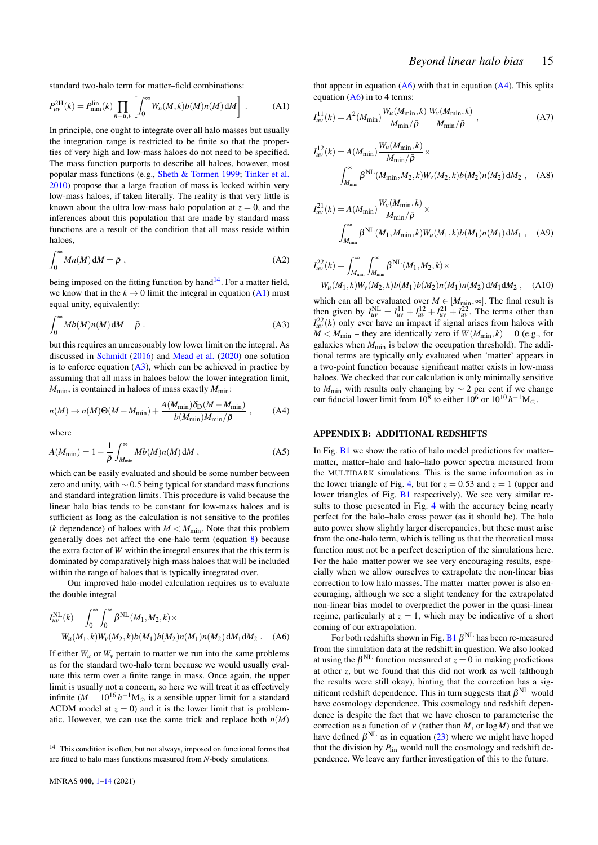standard two-halo term for matter–field combinations:

$$
P_{uv}^{\text{2H}}(k) = P_{mm}^{\text{lin}}(k) \prod_{n=u,v} \left[ \int_0^\infty W_n(M,k)b(M)n(M) \, \mathrm{d}M \right] \,. \tag{A1}
$$

In principle, one ought to integrate over all halo masses but usually the integration range is restricted to be finite so that the properties of very high and low-mass haloes do not need to be specified. The mass function purports to describe all haloes, however, most popular mass functions (e.g., [Sheth & Tormen](#page-14-76) [1999;](#page-14-76) [Tinker et al.](#page-14-49) [2010\)](#page-14-49) propose that a large fraction of mass is locked within very low-mass haloes, if taken literally. The reality is that very little is known about the ultra low-mass halo population at  $z = 0$ , and the inferences about this population that are made by standard mass functions are a result of the condition that all mass reside within haloes,

$$
\int_0^\infty Mn(M)\,\mathrm{d}M = \bar{\rho}\,\,,\tag{A2}
$$

<span id="page-15-3"></span>being imposed on the fitting function by hand<sup>[14](#page-15-1)</sup>. For a matter field, we know that in the  $k \to 0$  limit the integral in equation [\(A1\)](#page-15-2) must equal unity, equivalently:

$$
\int_0^\infty Mb(M)n(M)\,\mathrm{d}M = \bar{\rho}\ .\tag{A3}
$$

but this requires an unreasonably low lower limit on the integral. As discussed in [Schmidt](#page-14-77) [\(2016\)](#page-14-77) and [Mead et al.](#page-14-63) [\(2020\)](#page-14-63) one solution is to enforce equation  $(A3)$ , which can be achieved in practice by assuming that all mass in haloes below the lower integration limit,  $M_{\text{min}}$ , is contained in haloes of mass exactly  $M_{\text{min}}$ :

$$
n(M) \to n(M)\Theta(M - M_{\min}) + \frac{A(M_{\min})\delta_{\rm D}(M - M_{\min})}{b(M_{\min})M_{\min}/\bar{\rho}} ,\qquad \text{(A4)}
$$

where

$$
A(M_{\min}) = 1 - \frac{1}{\bar{\rho}} \int_{M_{\min}}^{\infty} M b(M) n(M) \, \mathrm{d}M \,, \tag{A5}
$$

which can be easily evaluated and should be some number between zero and unity, with  $\sim$  0.5 being typical for standard mass functions and standard integration limits. This procedure is valid because the linear halo bias tends to be constant for low-mass haloes and is sufficient as long as the calculation is not sensitive to the profiles (*k* dependence) of haloes with  $M < M_{\text{min}}$ . Note that this problem generally does not affect the one-halo term (equation [8\)](#page-3-0) because the extra factor of *W* within the integral ensures that the this term is dominated by comparatively high-mass haloes that will be included within the range of haloes that is typically integrated over.

Our improved halo-model calculation requires us to evaluate the double integral

$$
I_{uv}^{\text{NL}}(k) = \int_0^\infty \int_0^\infty \beta^{\text{NL}}(M_1, M_2, k) \times
$$
  
 
$$
W_u(M_1, k)W_v(M_2, k)b(M_1)b(M_2)n(M_1)n(M_2) \, \mathrm{d}M_1 \, \mathrm{d}M_2 \ . \tag{A6}
$$

If either  $W_u$  or  $W_v$  pertain to matter we run into the same problems as for the standard two-halo term because we would usually evaluate this term over a finite range in mass. Once again, the upper limit is usually not a concern, so here we will treat it as effectively infinite ( $M = 10^{16} h^{-1} M_{\odot}$  is a sensible upper limit for a standard  $\Lambda$ CDM model at  $z = 0$ ) and it is the lower limit that is problematic. However, we can use the same trick and replace both  $n(M)$ 

<span id="page-15-2"></span>that appear in equation  $(A6)$  with that in equation  $(A4)$ . This splits equation  $(A6)$  in to 4 terms:

$$
I_{uv}^{11}(k) = A^2(M_{\min}) \frac{W_u(M_{\min}, k)}{M_{\min}/\bar{\rho}} \frac{W_v(M_{\min}, k)}{M_{\min}/\bar{\rho}} ,
$$
 (A7)

$$
I_{uv}^{12}(k) = A(M_{\min}) \frac{W_u(M_{\min}, k)}{M_{\min}/\bar{\rho}} \times
$$
  

$$
\int_{M_{\min}}^{\infty} \beta^{NL}(M_{\min}, M_2, k) W_v(M_2, k) b(M_2) n(M_2) dM_2 , \quad (A8)
$$

$$
I_{uv}^{21}(k) = A(M_{\min}) \frac{W_v(M_{\min}, k)}{M_{\min}/\bar{\rho}} \times
$$
  

$$
\int_{M_{\min}}^{\infty} \beta^{NL}(M_1, M_{\min}, k) W_u(M_1, k) b(M_1) n(M_1) dM_1 , \quad (A9)
$$

$$
I_{uv}^{22}(k) = \int_{M_{\min}}^{\infty} \int_{M_{\min}}^{\infty} \beta^{NL} (M_1, M_2, k) \times
$$
  
 
$$
W_u(M_1, k) W_v(M_2, k) b(M_1) b(M_2) n(M_1) n(M_2) dM_1 dM_2 , \quad (A10)
$$

which can all be evaluated over  $M \in [M_{\text{min}}, \infty]$ . The final result is then given by  $I_{uv}^{\text{NL}} = I_{uv}^{11} + I_{uv}^{12} + I_{uv}^{21} + I_{uv}^{22}$ . The terms other than  $I_{uv}^{22}(k)$  only ever have an impact if signal arises from haloes with  $M < M_{\text{min}}$  – they are identically zero if  $W(M_{\text{min}}, k) = 0$  (e.g., for galaxies when  $M_{\text{min}}$  is below the occupation threshold). The additional terms are typically only evaluated when 'matter' appears in a two-point function because significant matter exists in low-mass haloes. We checked that our calculation is only minimally sensitive to  $M_{\text{min}}$  with results only changing by  $\sim$  2 per cent if we change our fiducial lower limit from  $10^8$  to either  $10^6$  or  $10^{10}$  *h*<sup>-1</sup>M<sub>☉</sub>.

#### <span id="page-15-5"></span><span id="page-15-0"></span>APPENDIX B: ADDITIONAL REDSHIFTS

In Fig.  $B1$  we show the ratio of halo model predictions for matter– matter, matter–halo and halo–halo power spectra measured from the MULTIDARK simulations. This is the same information as in the lower triangle of Fig. [4,](#page-9-0) but for  $z = 0.53$  and  $z = 1$  (upper and lower triangles of Fig. [B1](#page-16-0) respectively). We see very similar results to those presented in Fig. [4](#page-9-0) with the accuracy being nearly perfect for the halo–halo cross power (as it should be). The halo auto power show slightly larger discrepancies, but these must arise from the one-halo term, which is telling us that the theoretical mass function must not be a perfect description of the simulations here. For the halo–matter power we see very encouraging results, especially when we allow ourselves to extrapolate the non-linear bias correction to low halo masses. The matter–matter power is also encouraging, although we see a slight tendency for the extrapolated non-linear bias model to overpredict the power in the quasi-linear regime, particularly at  $z = 1$ , which may be indicative of a short coming of our extrapolation.

<span id="page-15-4"></span>For both redshifts shown in Fig. [B1](#page-16-0)  $\beta^{NL}$  has been re-measured from the simulation data at the redshift in question. We also looked at using the  $\beta^{NL}$  function measured at  $z = 0$  in making predictions at other *z*, but we found that this did not work as well (although the results were still okay), hinting that the correction has a significant redshift dependence. This in turn suggests that  $\beta^{NL}$  would have cosmology dependence. This cosmology and redshift dependence is despite the fact that we have chosen to parameterise the correction as a function of  $v$  (rather than  $M$ , or  $log M$ ) and that we have defined  $\beta^{NL}$  as in equation [\(23\)](#page-5-5) where we might have hoped that the division by  $P_{lin}$  would null the cosmology and redshift dependence. We leave any further investigation of this to the future.

<span id="page-15-1"></span><sup>&</sup>lt;sup>14</sup> This condition is often, but not always, imposed on functional forms that are fitted to halo mass functions measured from *N*-body simulations.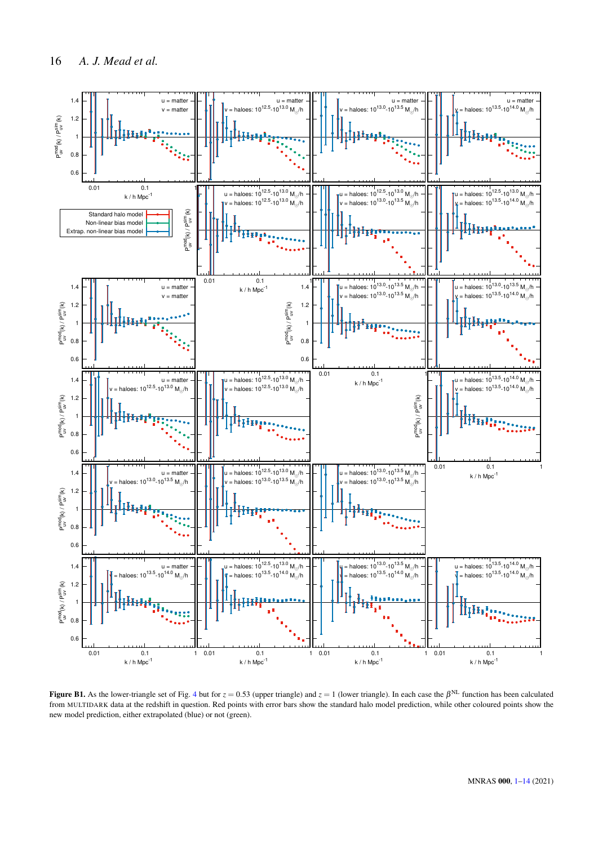

<span id="page-16-0"></span>Figure B1. As the lower-triangle set of Fig. [4](#page-9-0) but for  $z = 0.53$  (upper triangle) and  $z = 1$  (lower triangle). In each case the  $\beta^{NL}$  function has been calculated from MULTIDARK data at the redshift in question. Red points with error bars show the standard halo model prediction, while other coloured points show the new model prediction, either extrapolated (blue) or not (green).